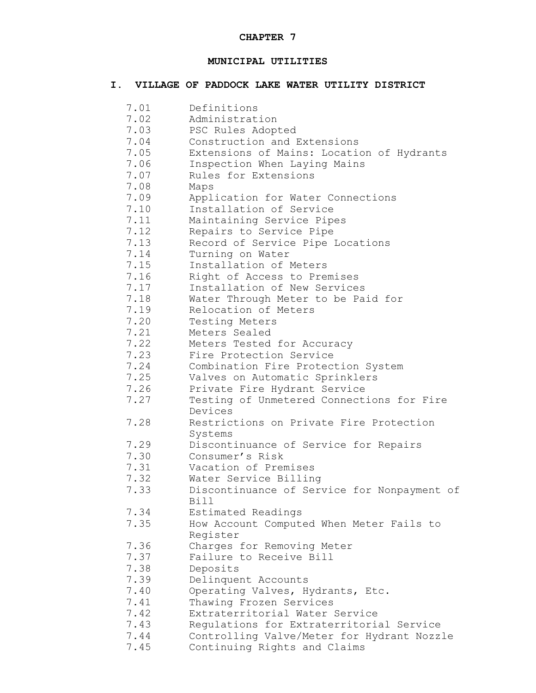# **MUNICIPAL UTILITIES**

# **I. VILLAGE OF PADDOCK LAKE WATER UTILITY DISTRICT**

| 7.01 | Definitions                                 |
|------|---------------------------------------------|
| 7.02 | Administration                              |
| 7.03 | PSC Rules Adopted                           |
| 7.04 | Construction and Extensions                 |
| 7.05 | Extensions of Mains: Location of Hydrants   |
| 7.06 | Inspection When Laying Mains                |
| 7.07 | Rules for Extensions                        |
| 7.08 | Maps                                        |
| 7.09 | Application for Water Connections           |
| 7.10 | Installation of Service                     |
| 7.11 | Maintaining Service Pipes                   |
| 7.12 |                                             |
|      | Repairs to Service Pipe                     |
| 7.13 | Record of Service Pipe Locations            |
| 7.14 | Turning on Water                            |
| 7.15 | Installation of Meters                      |
| 7.16 | Right of Access to Premises                 |
| 7.17 | Installation of New Services                |
| 7.18 | Water Through Meter to be Paid for          |
| 7.19 | Relocation of Meters                        |
| 7.20 | Testing Meters                              |
| 7.21 | Meters Sealed                               |
| 7.22 | Meters Tested for Accuracy                  |
| 7.23 | Fire Protection Service                     |
| 7.24 | Combination Fire Protection System          |
| 7.25 | Valves on Automatic Sprinklers              |
| 7.26 | Private Fire Hydrant Service                |
| 7.27 | Testing of Unmetered Connections for Fire   |
|      | Devices                                     |
| 7.28 | Restrictions on Private Fire Protection     |
|      | Systems                                     |
| 7.29 | Discontinuance of Service for Repairs       |
| 7.30 | Consumer's Risk                             |
| 7.31 | Vacation of Premises                        |
| 7.32 | Water Service Billing                       |
| 7.33 | Discontinuance of Service for Nonpayment of |
|      | Bill                                        |
| 7.34 | Estimated Readings                          |
| 7.35 |                                             |
|      | How Account Computed When Meter Fails to    |
|      | Register                                    |
| 7.36 | Charges for Removing Meter                  |
| 7.37 | Failure to Receive Bill                     |
| 7.38 | Deposits                                    |
| 7.39 | Delinquent Accounts                         |
| 7.40 | Operating Valves, Hydrants, Etc.            |
| 7.41 | Thawing Frozen Services                     |
| 7.42 | Extraterritorial Water Service              |
| 7.43 | Regulations for Extraterritorial Service    |
| 7.44 | Controlling Valve/Meter for Hydrant Nozzle  |
| 7.45 | Continuing Rights and Claims                |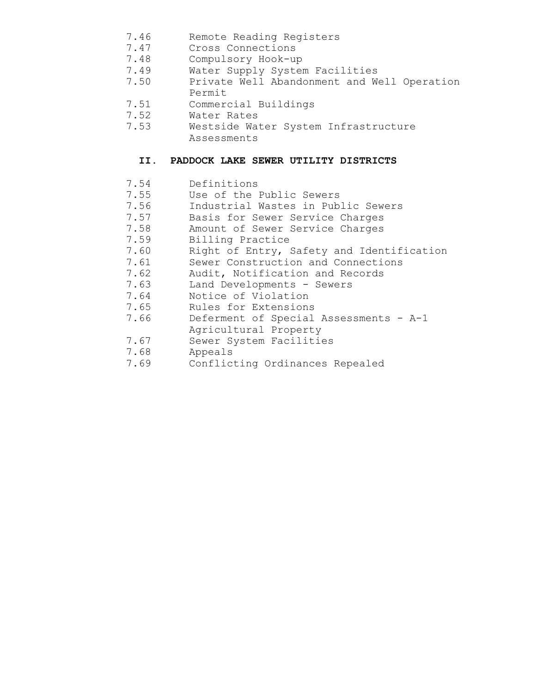- 7.46 Remote Reading Registers<br>7.47 Cross Connections
- Cross Connections
- 7.48 Compulsory Hook-up
- 7.49 Water Supply System Facilities
- 7.50 Private Well Abandonment and Well Operation Permit
- 7.51 Commercial Buildings
- 7.52 Water Rates
- 7.53 Westside Water System Infrastructure Assessments

# **II. PADDOCK LAKE SEWER UTILITY DISTRICTS**

- 7.54 Definitions
- 7.55 Use of the Public Sewers
- 7.56 Industrial Wastes in Public Sewers
- 7.57 Basis for Sewer Service Charges
- 7.58 Amount of Sewer Service Charges
- 7.59 Billing Practice
- 7.60 Right of Entry, Safety and Identification
- 7.61 Sewer Construction and Connections
- 7.62 Audit, Notification and Records
- 7.63 Land Developments Sewers
- 7.64 Notice of Violation
- 7.65 Rules for Extensions
- 7.66 Deferment of Special Assessments A-1
- Agricultural Property
- 7.67 Sewer System Facilities
- 
- 7.68 Appeals<br>7.69 Conflict Conflicting Ordinances Repealed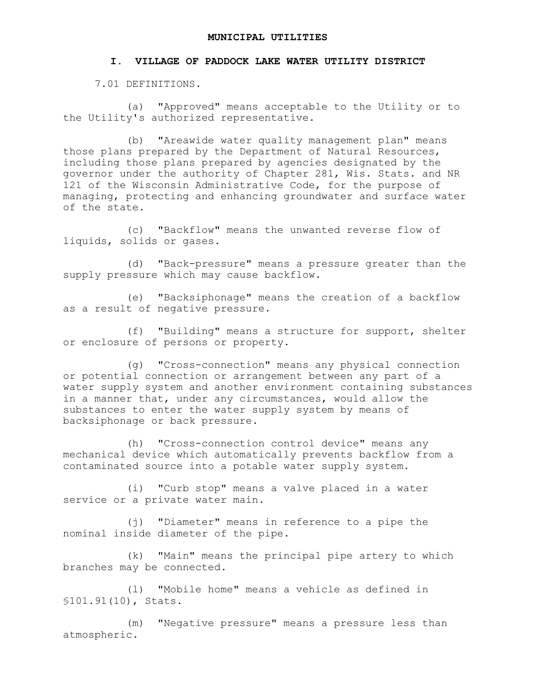#### **MUNICIPAL UTILITIES**

#### **I. VILLAGE OF PADDOCK LAKE WATER UTILITY DISTRICT**

7.01 DEFINITIONS.

(a) "Approved" means acceptable to the Utility or to the Utility's authorized representative.

(b) "Areawide water quality management plan" means those plans prepared by the Department of Natural Resources, including those plans prepared by agencies designated by the governor under the authority of Chapter 281, Wis. Stats. and NR 121 of the Wisconsin Administrative Code, for the purpose of managing, protecting and enhancing groundwater and surface water of the state.

(c) "Backflow" means the unwanted reverse flow of liquids, solids or gases.

(d) "Back-pressure" means a pressure greater than the supply pressure which may cause backflow.

(e) "Backsiphonage" means the creation of a backflow as a result of negative pressure.

(f) "Building" means a structure for support, shelter or enclosure of persons or property.

(g) "Cross-connection" means any physical connection or potential connection or arrangement between any part of a water supply system and another environment containing substances in a manner that, under any circumstances, would allow the substances to enter the water supply system by means of backsiphonage or back pressure.

(h) "Cross-connection control device" means any mechanical device which automatically prevents backflow from a contaminated source into a potable water supply system.

(i) "Curb stop" means a valve placed in a water service or a private water main.

(j) "Diameter" means in reference to a pipe the nominal inside diameter of the pipe.

(k) "Main" means the principal pipe artery to which branches may be connected.

(l) "Mobile home" means a vehicle as defined in §101.91(10), Stats.

(m) "Negative pressure" means a pressure less than atmospheric.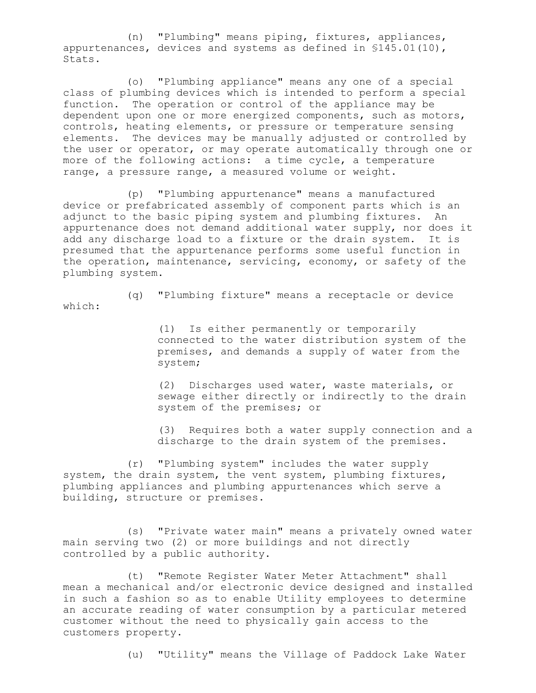(n) "Plumbing" means piping, fixtures, appliances, appurtenances, devices and systems as defined in §145.01(10), Stats.

(o) "Plumbing appliance" means any one of a special class of plumbing devices which is intended to perform a special function. The operation or control of the appliance may be dependent upon one or more energized components, such as motors, controls, heating elements, or pressure or temperature sensing elements. The devices may be manually adjusted or controlled by the user or operator, or may operate automatically through one or more of the following actions: a time cycle, a temperature range, a pressure range, a measured volume or weight.

(p) "Plumbing appurtenance" means a manufactured device or prefabricated assembly of component parts which is an adjunct to the basic piping system and plumbing fixtures. An appurtenance does not demand additional water supply, nor does it add any discharge load to a fixture or the drain system. It is presumed that the appurtenance performs some useful function in the operation, maintenance, servicing, economy, or safety of the plumbing system.

(q) "Plumbing fixture" means a receptacle or device which:

> (1) Is either permanently or temporarily connected to the water distribution system of the premises, and demands a supply of water from the system;

> (2) Discharges used water, waste materials, or sewage either directly or indirectly to the drain system of the premises; or

(3) Requires both a water supply connection and a discharge to the drain system of the premises.

(r) "Plumbing system" includes the water supply system, the drain system, the vent system, plumbing fixtures, plumbing appliances and plumbing appurtenances which serve a building, structure or premises.

(s) "Private water main" means a privately owned water main serving two (2) or more buildings and not directly controlled by a public authority.

(t) "Remote Register Water Meter Attachment" shall mean a mechanical and/or electronic device designed and installed in such a fashion so as to enable Utility employees to determine an accurate reading of water consumption by a particular metered customer without the need to physically gain access to the customers property.

(u) "Utility" means the Village of Paddock Lake Water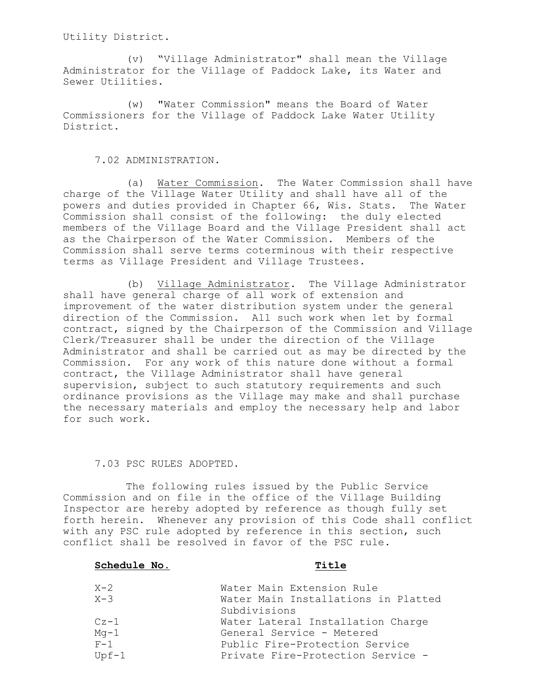Utility District.

(v) "Village Administrator" shall mean the Village Administrator for the Village of Paddock Lake, its Water and Sewer Utilities.

(w) "Water Commission" means the Board of Water Commissioners for the Village of Paddock Lake Water Utility District.

7.02 ADMINISTRATION.

(a) Water Commission. The Water Commission shall have charge of the Village Water Utility and shall have all of the powers and duties provided in Chapter 66, Wis. Stats. The Water Commission shall consist of the following: the duly elected members of the Village Board and the Village President shall act as the Chairperson of the Water Commission. Members of the Commission shall serve terms coterminous with their respective terms as Village President and Village Trustees.

(b) Village Administrator. The Village Administrator shall have general charge of all work of extension and improvement of the water distribution system under the general direction of the Commission. All such work when let by formal contract, signed by the Chairperson of the Commission and Village Clerk/Treasurer shall be under the direction of the Village Administrator and shall be carried out as may be directed by the Commission. For any work of this nature done without a formal contract, the Village Administrator shall have general supervision, subject to such statutory requirements and such ordinance provisions as the Village may make and shall purchase the necessary materials and employ the necessary help and labor for such work.

#### 7.03 PSC RULES ADOPTED.

The following rules issued by the Public Service Commission and on file in the office of the Village Building Inspector are hereby adopted by reference as though fully set forth herein. Whenever any provision of this Code shall conflict with any PSC rule adopted by reference in this section, such conflict shall be resolved in favor of the PSC rule.

## **Schedule No. Title**

| $X - 2$ | Water Main Extension Rule           |
|---------|-------------------------------------|
| $X - 3$ | Water Main Installations in Platted |
|         | Subdivisions                        |
| $Cz-1$  | Water Lateral Installation Charge   |
| $Mq-1$  | General Service - Metered           |
| $F-1$   | Public Fire-Protection Service      |
| $Upf-1$ | Private Fire-Protection Service -   |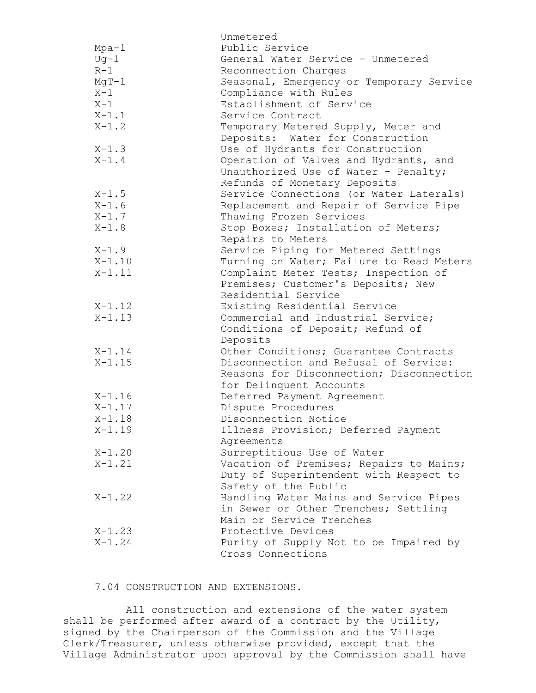|            | Unmetered                                                               |
|------------|-------------------------------------------------------------------------|
| $Mpa-1$    | Public Service                                                          |
| $Uq-1$     | General Water Service - Unmetered                                       |
| $R-1$      | Reconnection Charges                                                    |
| $MqT-1$    | Seasonal, Emergency or Temporary Service                                |
| $X-1$      | Compliance with Rules                                                   |
| $X-1$      | Establishment of Service                                                |
| $X-1.1$    | Service Contract                                                        |
| $X-1.2$    | Temporary Metered Supply, Meter and<br>Deposits: Water for Construction |
| $X - 1.3$  | Use of Hydrants for Construction                                        |
| $X-1.4$    | Operation of Valves and Hydrants, and                                   |
|            | Unauthorized Use of Water - Penalty;                                    |
|            | Refunds of Monetary Deposits                                            |
| $X-1.5$    | Service Connections (or Water Laterals)                                 |
| $X-1.6$    | Replacement and Repair of Service Pipe                                  |
| $X-1.7$    | Thawing Frozen Services                                                 |
| $X-1.8$    | Stop Boxes; Installation of Meters;                                     |
|            | Repairs to Meters                                                       |
| $X-1.9$    | Service Piping for Metered Settings                                     |
| $X - 1.10$ | Turning on Water; Failure to Read Meters                                |
| $X - 1.11$ | Complaint Meter Tests; Inspection of                                    |
|            | Premises; Customer's Deposits; New                                      |
|            | Residential Service                                                     |
| $X - 1.12$ | Existing Residential Service                                            |
| $X - 1.13$ | Commercial and Industrial Service;                                      |
|            | Conditions of Deposit; Refund of                                        |
|            | Deposits                                                                |
| $X - 1.14$ | Other Conditions; Guarantee Contracts                                   |
| $X - 1.15$ | Disconnection and Refusal of Service:                                   |
|            | Reasons for Disconnection; Disconnection                                |
|            | for Delinquent Accounts                                                 |
| $X - 1.16$ | Deferred Payment Agreement                                              |
| $X - 1.17$ | Dispute Procedures                                                      |
| $X - 1.18$ | Disconnection Notice                                                    |
| $X - 1.19$ | Illness Provision; Deferred Payment                                     |
|            | Agreements                                                              |
| $X - 1.20$ | Surreptitious Use of Water                                              |
| $X - 1.21$ | Vacation of Premises; Repairs to Mains;                                 |
|            | Duty of Superintendent with Respect to                                  |
|            | Safety of the Public                                                    |
| $X - 1.22$ | Handling Water Mains and Service Pipes                                  |
|            | in Sewer or Other Trenches; Settling                                    |
|            | Main or Service Trenches                                                |
| $X - 1.23$ | Protective Devices                                                      |
| $X - 1.24$ | Purity of Supply Not to be Impaired by                                  |
|            | Cross Connections                                                       |

7.04 CONSTRUCTION AND EXTENSIONS.

All construction and extensions of the water system shall be performed after award of a contract by the Utility, signed by the Chairperson of the Commission and the Village Clerk/Treasurer, unless otherwise provided, except that the Village Administrator upon approval by the Commission shall have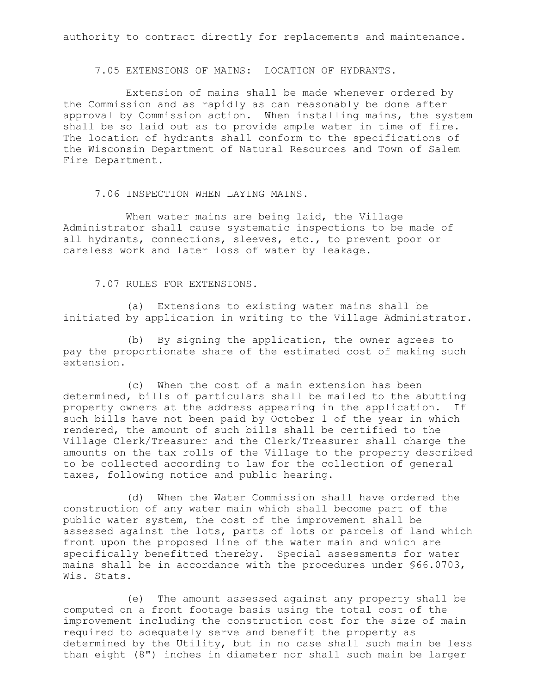authority to contract directly for replacements and maintenance.

7.05 EXTENSIONS OF MAINS: LOCATION OF HYDRANTS.

Extension of mains shall be made whenever ordered by the Commission and as rapidly as can reasonably be done after approval by Commission action. When installing mains, the system shall be so laid out as to provide ample water in time of fire. The location of hydrants shall conform to the specifications of the Wisconsin Department of Natural Resources and Town of Salem Fire Department.

7.06 INSPECTION WHEN LAYING MAINS.

When water mains are being laid, the Village Administrator shall cause systematic inspections to be made of all hydrants, connections, sleeves, etc., to prevent poor or careless work and later loss of water by leakage.

7.07 RULES FOR EXTENSIONS.

(a) Extensions to existing water mains shall be initiated by application in writing to the Village Administrator.

(b) By signing the application, the owner agrees to pay the proportionate share of the estimated cost of making such extension.

(c) When the cost of a main extension has been determined, bills of particulars shall be mailed to the abutting property owners at the address appearing in the application. If such bills have not been paid by October 1 of the year in which rendered, the amount of such bills shall be certified to the Village Clerk/Treasurer and the Clerk/Treasurer shall charge the amounts on the tax rolls of the Village to the property described to be collected according to law for the collection of general taxes, following notice and public hearing.

(d) When the Water Commission shall have ordered the construction of any water main which shall become part of the public water system, the cost of the improvement shall be assessed against the lots, parts of lots or parcels of land which front upon the proposed line of the water main and which are specifically benefitted thereby. Special assessments for water mains shall be in accordance with the procedures under §66.0703, Wis. Stats.

(e) The amount assessed against any property shall be computed on a front footage basis using the total cost of the improvement including the construction cost for the size of main required to adequately serve and benefit the property as determined by the Utility, but in no case shall such main be less than eight (8") inches in diameter nor shall such main be larger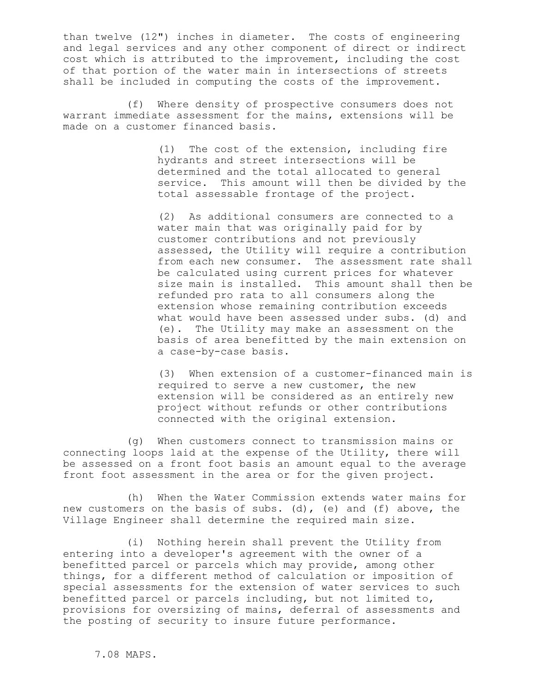than twelve (12") inches in diameter. The costs of engineering and legal services and any other component of direct or indirect cost which is attributed to the improvement, including the cost of that portion of the water main in intersections of streets shall be included in computing the costs of the improvement.

(f) Where density of prospective consumers does not warrant immediate assessment for the mains, extensions will be made on a customer financed basis.

> (1) The cost of the extension, including fire hydrants and street intersections will be determined and the total allocated to general service. This amount will then be divided by the total assessable frontage of the project.

(2) As additional consumers are connected to a water main that was originally paid for by customer contributions and not previously assessed, the Utility will require a contribution from each new consumer. The assessment rate shall be calculated using current prices for whatever size main is installed. This amount shall then be refunded pro rata to all consumers along the extension whose remaining contribution exceeds what would have been assessed under subs. (d) and (e). The Utility may make an assessment on the basis of area benefitted by the main extension on a case-by-case basis.

(3) When extension of a customer-financed main is required to serve a new customer, the new extension will be considered as an entirely new project without refunds or other contributions connected with the original extension.

(g) When customers connect to transmission mains or connecting loops laid at the expense of the Utility, there will be assessed on a front foot basis an amount equal to the average front foot assessment in the area or for the given project.

(h) When the Water Commission extends water mains for new customers on the basis of subs. (d), (e) and (f) above, the Village Engineer shall determine the required main size.

(i) Nothing herein shall prevent the Utility from entering into a developer's agreement with the owner of a benefitted parcel or parcels which may provide, among other things, for a different method of calculation or imposition of special assessments for the extension of water services to such benefitted parcel or parcels including, but not limited to, provisions for oversizing of mains, deferral of assessments and the posting of security to insure future performance.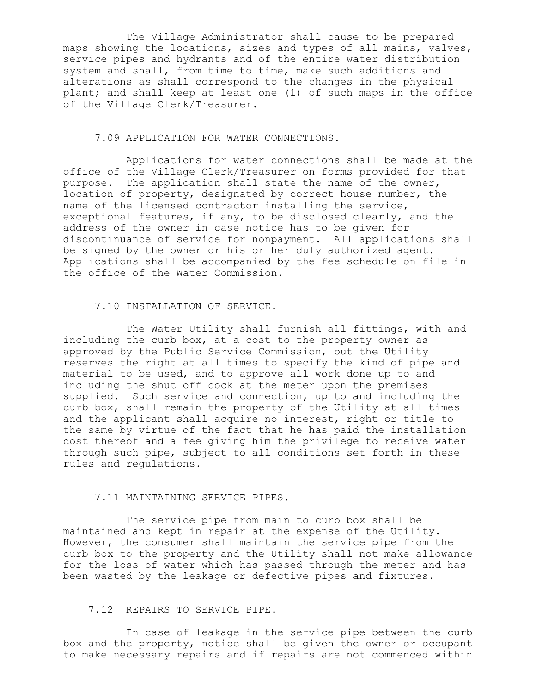The Village Administrator shall cause to be prepared maps showing the locations, sizes and types of all mains, valves, service pipes and hydrants and of the entire water distribution system and shall, from time to time, make such additions and alterations as shall correspond to the changes in the physical plant; and shall keep at least one (1) of such maps in the office of the Village Clerk/Treasurer.

#### 7.09 APPLICATION FOR WATER CONNECTIONS.

Applications for water connections shall be made at the office of the Village Clerk/Treasurer on forms provided for that purpose. The application shall state the name of the owner, location of property, designated by correct house number, the name of the licensed contractor installing the service, exceptional features, if any, to be disclosed clearly, and the address of the owner in case notice has to be given for discontinuance of service for nonpayment. All applications shall be signed by the owner or his or her duly authorized agent. Applications shall be accompanied by the fee schedule on file in the office of the Water Commission.

#### 7.10 INSTALLATION OF SERVICE.

The Water Utility shall furnish all fittings, with and including the curb box, at a cost to the property owner as approved by the Public Service Commission, but the Utility reserves the right at all times to specify the kind of pipe and material to be used, and to approve all work done up to and including the shut off cock at the meter upon the premises supplied. Such service and connection, up to and including the curb box, shall remain the property of the Utility at all times and the applicant shall acquire no interest, right or title to the same by virtue of the fact that he has paid the installation cost thereof and a fee giving him the privilege to receive water through such pipe, subject to all conditions set forth in these rules and regulations.

#### 7.11 MAINTAINING SERVICE PIPES.

The service pipe from main to curb box shall be maintained and kept in repair at the expense of the Utility. However, the consumer shall maintain the service pipe from the curb box to the property and the Utility shall not make allowance for the loss of water which has passed through the meter and has been wasted by the leakage or defective pipes and fixtures.

#### 7.12 REPAIRS TO SERVICE PIPE.

In case of leakage in the service pipe between the curb box and the property, notice shall be given the owner or occupant to make necessary repairs and if repairs are not commenced within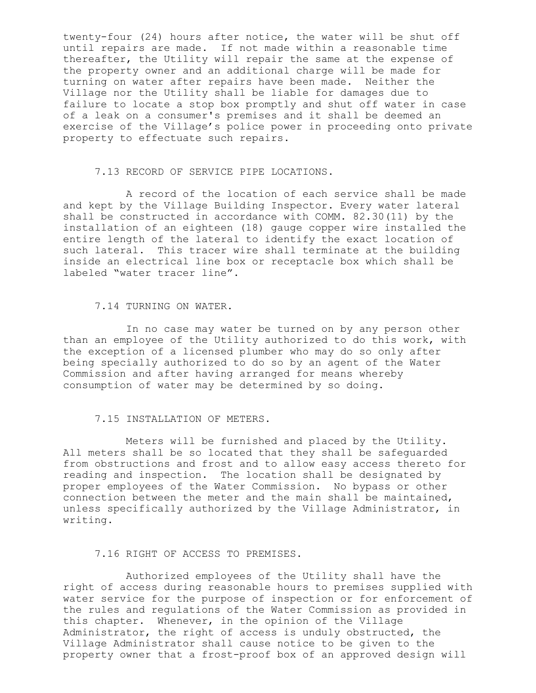twenty-four (24) hours after notice, the water will be shut off until repairs are made. If not made within a reasonable time thereafter, the Utility will repair the same at the expense of the property owner and an additional charge will be made for turning on water after repairs have been made. Neither the Village nor the Utility shall be liable for damages due to failure to locate a stop box promptly and shut off water in case of a leak on a consumer's premises and it shall be deemed an exercise of the Village's police power in proceeding onto private property to effectuate such repairs.

## 7.13 RECORD OF SERVICE PIPE LOCATIONS.

A record of the location of each service shall be made and kept by the Village Building Inspector. Every water lateral shall be constructed in accordance with COMM. 82.30(11) by the installation of an eighteen (18) gauge copper wire installed the entire length of the lateral to identify the exact location of such lateral. This tracer wire shall terminate at the building inside an electrical line box or receptacle box which shall be labeled "water tracer line".

#### 7.14 TURNING ON WATER.

In no case may water be turned on by any person other than an employee of the Utility authorized to do this work, with the exception of a licensed plumber who may do so only after being specially authorized to do so by an agent of the Water Commission and after having arranged for means whereby consumption of water may be determined by so doing.

## 7.15 INSTALLATION OF METERS.

Meters will be furnished and placed by the Utility. All meters shall be so located that they shall be safeguarded from obstructions and frost and to allow easy access thereto for reading and inspection. The location shall be designated by proper employees of the Water Commission. No bypass or other connection between the meter and the main shall be maintained, unless specifically authorized by the Village Administrator, in writing.

## 7.16 RIGHT OF ACCESS TO PREMISES.

Authorized employees of the Utility shall have the right of access during reasonable hours to premises supplied with water service for the purpose of inspection or for enforcement of the rules and regulations of the Water Commission as provided in this chapter. Whenever, in the opinion of the Village Administrator, the right of access is unduly obstructed, the Village Administrator shall cause notice to be given to the property owner that a frost-proof box of an approved design will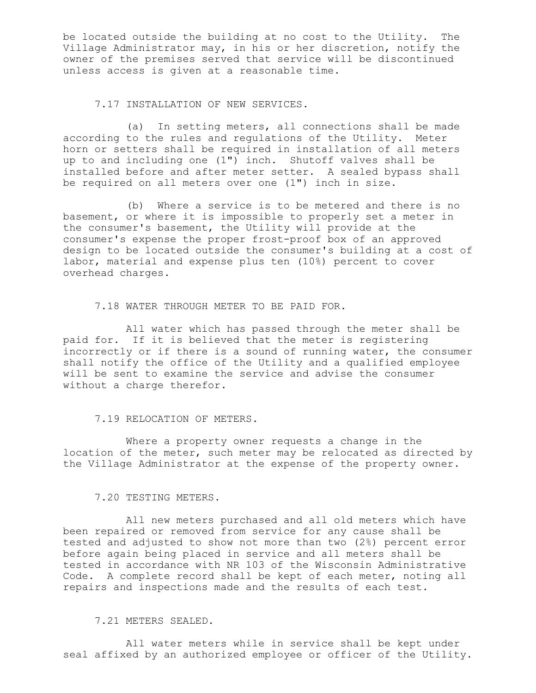be located outside the building at no cost to the Utility. The Village Administrator may, in his or her discretion, notify the owner of the premises served that service will be discontinued unless access is given at a reasonable time.

#### 7.17 INSTALLATION OF NEW SERVICES.

(a) In setting meters, all connections shall be made according to the rules and regulations of the Utility. Meter horn or setters shall be required in installation of all meters up to and including one (1") inch. Shutoff valves shall be installed before and after meter setter. A sealed bypass shall be required on all meters over one (1") inch in size.

(b) Where a service is to be metered and there is no basement, or where it is impossible to properly set a meter in the consumer's basement, the Utility will provide at the consumer's expense the proper frost-proof box of an approved design to be located outside the consumer's building at a cost of labor, material and expense plus ten (10%) percent to cover overhead charges.

7.18 WATER THROUGH METER TO BE PAID FOR.

All water which has passed through the meter shall be paid for. If it is believed that the meter is registering incorrectly or if there is a sound of running water, the consumer shall notify the office of the Utility and a qualified employee will be sent to examine the service and advise the consumer without a charge therefor.

#### 7.19 RELOCATION OF METERS.

Where a property owner requests a change in the location of the meter, such meter may be relocated as directed by the Village Administrator at the expense of the property owner.

#### 7.20 TESTING METERS.

All new meters purchased and all old meters which have been repaired or removed from service for any cause shall be tested and adjusted to show not more than two (2%) percent error before again being placed in service and all meters shall be tested in accordance with NR 103 of the Wisconsin Administrative Code. A complete record shall be kept of each meter, noting all repairs and inspections made and the results of each test.

# 7.21 METERS SEALED.

All water meters while in service shall be kept under seal affixed by an authorized employee or officer of the Utility.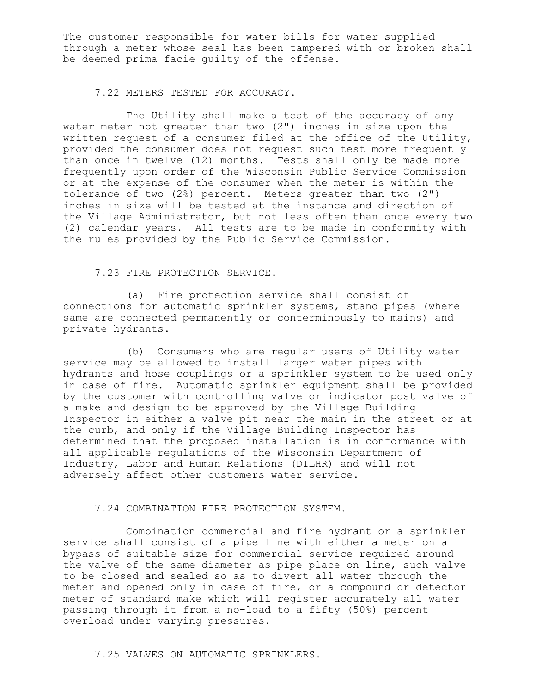The customer responsible for water bills for water supplied through a meter whose seal has been tampered with or broken shall be deemed prima facie guilty of the offense.

7.22 METERS TESTED FOR ACCURACY.

The Utility shall make a test of the accuracy of any water meter not greater than two (2") inches in size upon the written request of a consumer filed at the office of the Utility, provided the consumer does not request such test more frequently than once in twelve (12) months. Tests shall only be made more frequently upon order of the Wisconsin Public Service Commission or at the expense of the consumer when the meter is within the tolerance of two (2%) percent. Meters greater than two (2") inches in size will be tested at the instance and direction of the Village Administrator, but not less often than once every two (2) calendar years. All tests are to be made in conformity with the rules provided by the Public Service Commission.

## 7.23 FIRE PROTECTION SERVICE.

(a) Fire protection service shall consist of connections for automatic sprinkler systems, stand pipes (where same are connected permanently or conterminously to mains) and private hydrants.

(b) Consumers who are regular users of Utility water service may be allowed to install larger water pipes with hydrants and hose couplings or a sprinkler system to be used only in case of fire. Automatic sprinkler equipment shall be provided by the customer with controlling valve or indicator post valve of a make and design to be approved by the Village Building Inspector in either a valve pit near the main in the street or at the curb, and only if the Village Building Inspector has determined that the proposed installation is in conformance with all applicable regulations of the Wisconsin Department of Industry, Labor and Human Relations (DILHR) and will not adversely affect other customers water service.

## 7.24 COMBINATION FIRE PROTECTION SYSTEM.

Combination commercial and fire hydrant or a sprinkler service shall consist of a pipe line with either a meter on a bypass of suitable size for commercial service required around the valve of the same diameter as pipe place on line, such valve to be closed and sealed so as to divert all water through the meter and opened only in case of fire, or a compound or detector meter of standard make which will register accurately all water passing through it from a no-load to a fifty (50%) percent overload under varying pressures.

# 7.25 VALVES ON AUTOMATIC SPRINKLERS.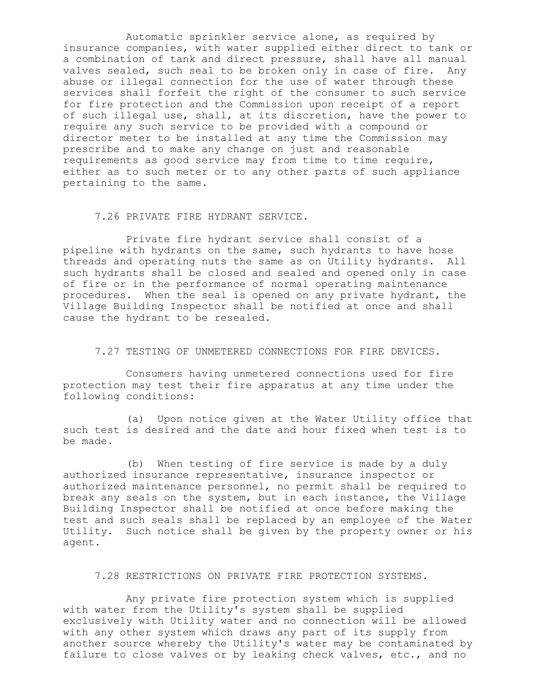Automatic sprinkler service alone, as required by insurance companies, with water supplied either direct to tank or a combination of tank and direct pressure, shall have all manual valves sealed, such seal to be broken only in case of fire. Any abuse or illegal connection for the use of water through these services shall forfeit the right of the consumer to such service for fire protection and the Commission upon receipt of a report of such illegal use, shall, at its discretion, have the power to require any such service to be provided with a compound or director meter to be installed at any time the Commission may prescribe and to make any change on just and reasonable requirements as good service may from time to time require, either as to such meter or to any other parts of such appliance pertaining to the same.

#### 7.26 PRIVATE FIRE HYDRANT SERVICE.

Private fire hydrant service shall consist of a pipeline with hydrants on the same, such hydrants to have hose threads and operating nuts the same as on Utility hydrants. All such hydrants shall be closed and sealed and opened only in case of fire or in the performance of normal operating maintenance procedures. When the seal is opened on any private hydrant, the Village Building Inspector shall be notified at once and shall cause the hydrant to be resealed.

## 7.27 TESTING OF UNMETERED CONNECTIONS FOR FIRE DEVICES.

Consumers having unmetered connections used for fire protection may test their fire apparatus at any time under the following conditions:

(a) Upon notice given at the Water Utility office that such test is desired and the date and hour fixed when test is to be made.

(b) When testing of fire service is made by a duly authorized insurance representative, insurance inspector or authorized maintenance personnel, no permit shall be required to break any seals on the system, but in each instance, the Village Building Inspector shall be notified at once before making the test and such seals shall be replaced by an employee of the Water Utility. Such notice shall be given by the property owner or his agent.

## 7.28 RESTRICTIONS ON PRIVATE FIRE PROTECTION SYSTEMS.

Any private fire protection system which is supplied with water from the Utility's system shall be supplied exclusively with Utility water and no connection will be allowed with any other system which draws any part of its supply from another source whereby the Utility's water may be contaminated by failure to close valves or by leaking check valves, etc., and no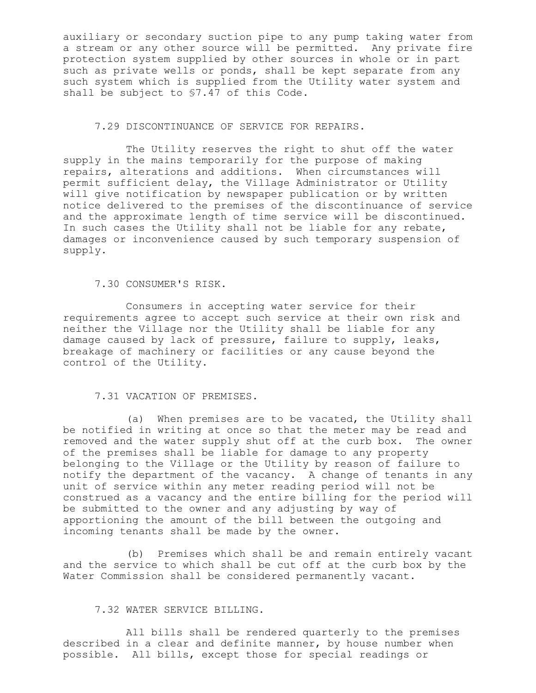auxiliary or secondary suction pipe to any pump taking water from a stream or any other source will be permitted. Any private fire protection system supplied by other sources in whole or in part such as private wells or ponds, shall be kept separate from any such system which is supplied from the Utility water system and shall be subject to §7.47 of this Code.

# 7.29 DISCONTINUANCE OF SERVICE FOR REPAIRS.

The Utility reserves the right to shut off the water supply in the mains temporarily for the purpose of making repairs, alterations and additions. When circumstances will permit sufficient delay, the Village Administrator or Utility will give notification by newspaper publication or by written notice delivered to the premises of the discontinuance of service and the approximate length of time service will be discontinued. In such cases the Utility shall not be liable for any rebate, damages or inconvenience caused by such temporary suspension of supply.

## 7.30 CONSUMER'S RISK.

Consumers in accepting water service for their requirements agree to accept such service at their own risk and neither the Village nor the Utility shall be liable for any damage caused by lack of pressure, failure to supply, leaks, breakage of machinery or facilities or any cause beyond the control of the Utility.

## 7.31 VACATION OF PREMISES.

(a) When premises are to be vacated, the Utility shall be notified in writing at once so that the meter may be read and removed and the water supply shut off at the curb box. The owner of the premises shall be liable for damage to any property belonging to the Village or the Utility by reason of failure to notify the department of the vacancy. A change of tenants in any unit of service within any meter reading period will not be construed as a vacancy and the entire billing for the period will be submitted to the owner and any adjusting by way of apportioning the amount of the bill between the outgoing and incoming tenants shall be made by the owner.

(b) Premises which shall be and remain entirely vacant and the service to which shall be cut off at the curb box by the Water Commission shall be considered permanently vacant.

# 7.32 WATER SERVICE BILLING.

All bills shall be rendered quarterly to the premises described in a clear and definite manner, by house number when possible. All bills, except those for special readings or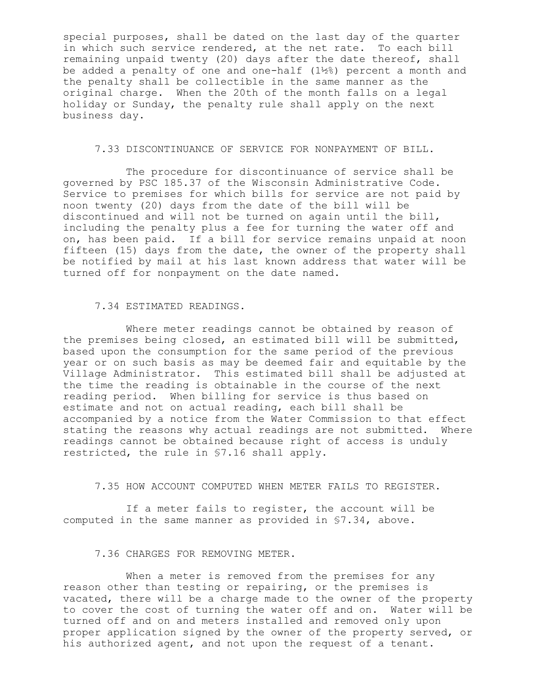special purposes, shall be dated on the last day of the quarter in which such service rendered, at the net rate. To each bill remaining unpaid twenty (20) days after the date thereof, shall be added a penalty of one and one-half (1½%) percent a month and the penalty shall be collectible in the same manner as the original charge. When the 20th of the month falls on a legal holiday or Sunday, the penalty rule shall apply on the next business day.

## 7.33 DISCONTINUANCE OF SERVICE FOR NONPAYMENT OF BILL.

The procedure for discontinuance of service shall be governed by PSC 185.37 of the Wisconsin Administrative Code. Service to premises for which bills for service are not paid by noon twenty (20) days from the date of the bill will be discontinued and will not be turned on again until the bill, including the penalty plus a fee for turning the water off and on, has been paid. If a bill for service remains unpaid at noon fifteen (15) days from the date, the owner of the property shall be notified by mail at his last known address that water will be turned off for nonpayment on the date named.

#### 7.34 ESTIMATED READINGS.

Where meter readings cannot be obtained by reason of the premises being closed, an estimated bill will be submitted, based upon the consumption for the same period of the previous year or on such basis as may be deemed fair and equitable by the Village Administrator. This estimated bill shall be adjusted at the time the reading is obtainable in the course of the next reading period. When billing for service is thus based on estimate and not on actual reading, each bill shall be accompanied by a notice from the Water Commission to that effect stating the reasons why actual readings are not submitted. Where readings cannot be obtained because right of access is unduly restricted, the rule in §7.16 shall apply.

#### 7.35 HOW ACCOUNT COMPUTED WHEN METER FAILS TO REGISTER.

If a meter fails to register, the account will be computed in the same manner as provided in §7.34, above.

## 7.36 CHARGES FOR REMOVING METER.

When a meter is removed from the premises for any reason other than testing or repairing, or the premises is vacated, there will be a charge made to the owner of the property to cover the cost of turning the water off and on. Water will be turned off and on and meters installed and removed only upon proper application signed by the owner of the property served, or his authorized agent, and not upon the request of a tenant.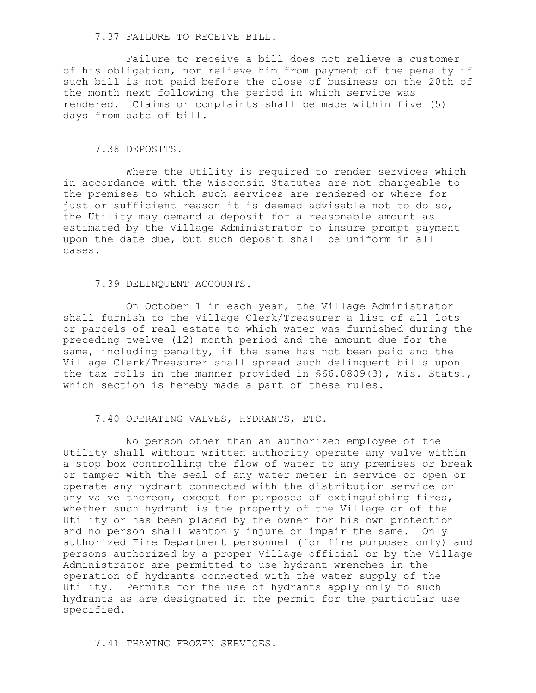#### 7.37 FAILURE TO RECEIVE BILL.

Failure to receive a bill does not relieve a customer of his obligation, nor relieve him from payment of the penalty if such bill is not paid before the close of business on the 20th of the month next following the period in which service was rendered. Claims or complaints shall be made within five (5) days from date of bill.

## 7.38 DEPOSITS.

Where the Utility is required to render services which in accordance with the Wisconsin Statutes are not chargeable to the premises to which such services are rendered or where for just or sufficient reason it is deemed advisable not to do so, the Utility may demand a deposit for a reasonable amount as estimated by the Village Administrator to insure prompt payment upon the date due, but such deposit shall be uniform in all cases.

## 7.39 DELINQUENT ACCOUNTS.

On October 1 in each year, the Village Administrator shall furnish to the Village Clerk/Treasurer a list of all lots or parcels of real estate to which water was furnished during the preceding twelve (12) month period and the amount due for the same, including penalty, if the same has not been paid and the Village Clerk/Treasurer shall spread such delinquent bills upon the tax rolls in the manner provided in §66.0809(3), Wis. Stats., which section is hereby made a part of these rules.

#### 7.40 OPERATING VALVES, HYDRANTS, ETC.

No person other than an authorized employee of the Utility shall without written authority operate any valve within a stop box controlling the flow of water to any premises or break or tamper with the seal of any water meter in service or open or operate any hydrant connected with the distribution service or any valve thereon, except for purposes of extinguishing fires, whether such hydrant is the property of the Village or of the Utility or has been placed by the owner for his own protection and no person shall wantonly injure or impair the same. Only authorized Fire Department personnel (for fire purposes only) and persons authorized by a proper Village official or by the Village Administrator are permitted to use hydrant wrenches in the operation of hydrants connected with the water supply of the Utility. Permits for the use of hydrants apply only to such hydrants as are designated in the permit for the particular use specified.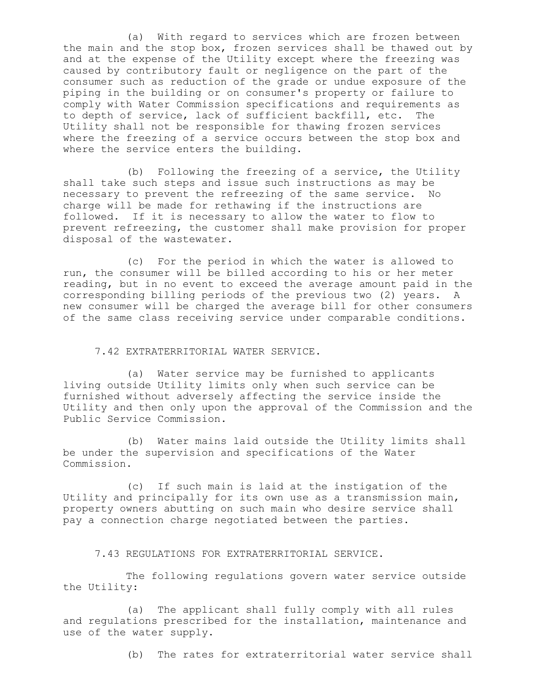(a) With regard to services which are frozen between the main and the stop box, frozen services shall be thawed out by and at the expense of the Utility except where the freezing was caused by contributory fault or negligence on the part of the consumer such as reduction of the grade or undue exposure of the piping in the building or on consumer's property or failure to comply with Water Commission specifications and requirements as to depth of service, lack of sufficient backfill, etc. The Utility shall not be responsible for thawing frozen services where the freezing of a service occurs between the stop box and where the service enters the building.

(b) Following the freezing of a service, the Utility shall take such steps and issue such instructions as may be necessary to prevent the refreezing of the same service. No charge will be made for rethawing if the instructions are followed. If it is necessary to allow the water to flow to prevent refreezing, the customer shall make provision for proper disposal of the wastewater.

(c) For the period in which the water is allowed to run, the consumer will be billed according to his or her meter reading, but in no event to exceed the average amount paid in the corresponding billing periods of the previous two (2) years. new consumer will be charged the average bill for other consumers of the same class receiving service under comparable conditions.

## 7.42 EXTRATERRITORIAL WATER SERVICE.

(a) Water service may be furnished to applicants living outside Utility limits only when such service can be furnished without adversely affecting the service inside the Utility and then only upon the approval of the Commission and the Public Service Commission.

(b) Water mains laid outside the Utility limits shall be under the supervision and specifications of the Water Commission.

(c) If such main is laid at the instigation of the Utility and principally for its own use as a transmission main, property owners abutting on such main who desire service shall pay a connection charge negotiated between the parties.

7.43 REGULATIONS FOR EXTRATERRITORIAL SERVICE.

The following regulations govern water service outside the Utility:

(a) The applicant shall fully comply with all rules and regulations prescribed for the installation, maintenance and use of the water supply.

(b) The rates for extraterritorial water service shall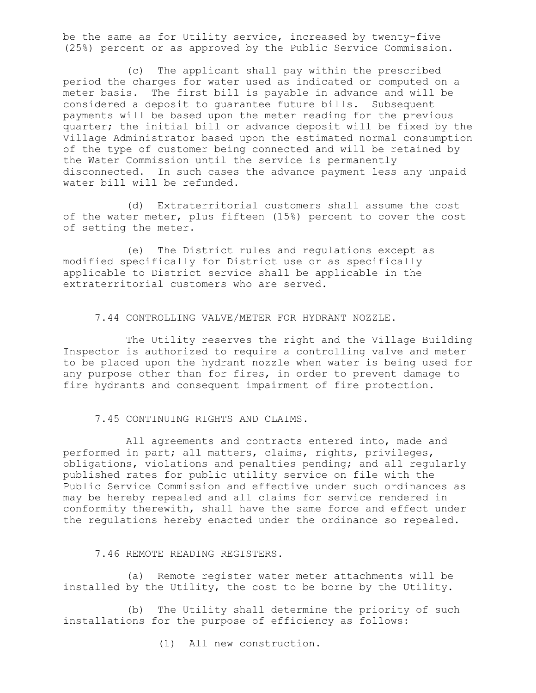be the same as for Utility service, increased by twenty-five (25%) percent or as approved by the Public Service Commission.

(c) The applicant shall pay within the prescribed period the charges for water used as indicated or computed on a meter basis. The first bill is payable in advance and will be considered a deposit to guarantee future bills. Subsequent payments will be based upon the meter reading for the previous quarter; the initial bill or advance deposit will be fixed by the Village Administrator based upon the estimated normal consumption of the type of customer being connected and will be retained by the Water Commission until the service is permanently disconnected. In such cases the advance payment less any unpaid water bill will be refunded.

(d) Extraterritorial customers shall assume the cost of the water meter, plus fifteen (15%) percent to cover the cost of setting the meter.

(e) The District rules and regulations except as modified specifically for District use or as specifically applicable to District service shall be applicable in the extraterritorial customers who are served.

7.44 CONTROLLING VALVE/METER FOR HYDRANT NOZZLE.

The Utility reserves the right and the Village Building Inspector is authorized to require a controlling valve and meter to be placed upon the hydrant nozzle when water is being used for any purpose other than for fires, in order to prevent damage to fire hydrants and consequent impairment of fire protection.

7.45 CONTINUING RIGHTS AND CLAIMS.

All agreements and contracts entered into, made and performed in part; all matters, claims, rights, privileges, obligations, violations and penalties pending; and all regularly published rates for public utility service on file with the Public Service Commission and effective under such ordinances as may be hereby repealed and all claims for service rendered in conformity therewith, shall have the same force and effect under the regulations hereby enacted under the ordinance so repealed.

7.46 REMOTE READING REGISTERS.

(a) Remote register water meter attachments will be installed by the Utility, the cost to be borne by the Utility.

(b) The Utility shall determine the priority of such installations for the purpose of efficiency as follows:

(1) All new construction.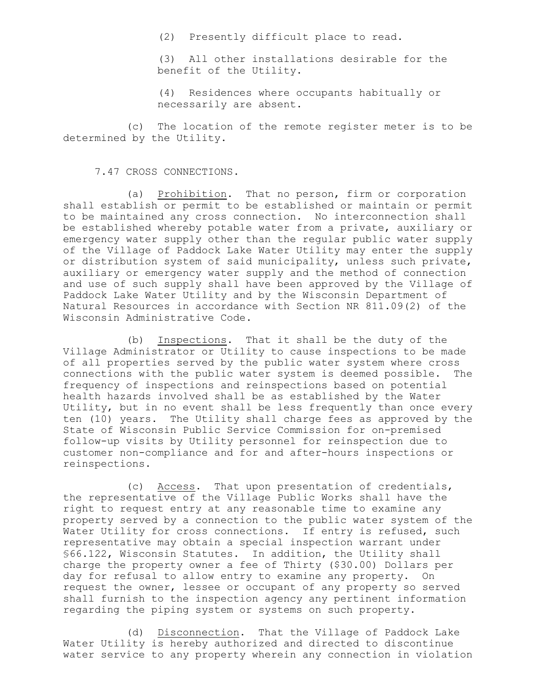(2) Presently difficult place to read.

(3) All other installations desirable for the benefit of the Utility.

(4) Residences where occupants habitually or necessarily are absent.

(c) The location of the remote register meter is to be determined by the Utility.

#### 7.47 CROSS CONNECTIONS.

(a) Prohibition. That no person, firm or corporation shall establish or permit to be established or maintain or permit to be maintained any cross connection. No interconnection shall be established whereby potable water from a private, auxiliary or emergency water supply other than the regular public water supply of the Village of Paddock Lake Water Utility may enter the supply or distribution system of said municipality, unless such private, auxiliary or emergency water supply and the method of connection and use of such supply shall have been approved by the Village of Paddock Lake Water Utility and by the Wisconsin Department of Natural Resources in accordance with Section NR 811.09(2) of the Wisconsin Administrative Code.

(b) Inspections. That it shall be the duty of the Village Administrator or Utility to cause inspections to be made of all properties served by the public water system where cross connections with the public water system is deemed possible. The frequency of inspections and reinspections based on potential health hazards involved shall be as established by the Water Utility, but in no event shall be less frequently than once every ten (10) years. The Utility shall charge fees as approved by the State of Wisconsin Public Service Commission for on-premised follow-up visits by Utility personnel for reinspection due to customer non-compliance and for and after-hours inspections or reinspections.

(c) Access. That upon presentation of credentials, the representative of the Village Public Works shall have the right to request entry at any reasonable time to examine any property served by a connection to the public water system of the Water Utility for cross connections. If entry is refused, such representative may obtain a special inspection warrant under §66.122, Wisconsin Statutes. In addition, the Utility shall charge the property owner a fee of Thirty (\$30.00) Dollars per day for refusal to allow entry to examine any property. On request the owner, lessee or occupant of any property so served shall furnish to the inspection agency any pertinent information regarding the piping system or systems on such property.

(d) Disconnection. That the Village of Paddock Lake Water Utility is hereby authorized and directed to discontinue water service to any property wherein any connection in violation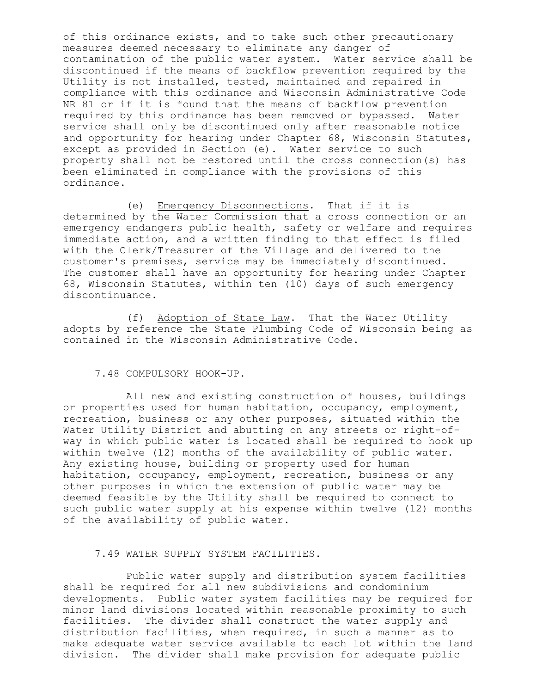of this ordinance exists, and to take such other precautionary measures deemed necessary to eliminate any danger of contamination of the public water system. Water service shall be discontinued if the means of backflow prevention required by the Utility is not installed, tested, maintained and repaired in compliance with this ordinance and Wisconsin Administrative Code NR 81 or if it is found that the means of backflow prevention required by this ordinance has been removed or bypassed. Water service shall only be discontinued only after reasonable notice and opportunity for hearing under Chapter 68, Wisconsin Statutes, except as provided in Section (e). Water service to such property shall not be restored until the cross connection(s) has been eliminated in compliance with the provisions of this ordinance.

(e) Emergency Disconnections. That if it is determined by the Water Commission that a cross connection or an emergency endangers public health, safety or welfare and requires immediate action, and a written finding to that effect is filed with the Clerk/Treasurer of the Village and delivered to the customer's premises, service may be immediately discontinued. The customer shall have an opportunity for hearing under Chapter 68, Wisconsin Statutes, within ten (10) days of such emergency discontinuance.

(f) Adoption of State Law. That the Water Utility adopts by reference the State Plumbing Code of Wisconsin being as contained in the Wisconsin Administrative Code.

## 7.48 COMPULSORY HOOK-UP.

All new and existing construction of houses, buildings or properties used for human habitation, occupancy, employment, recreation, business or any other purposes, situated within the Water Utility District and abutting on any streets or right-ofway in which public water is located shall be required to hook up within twelve (12) months of the availability of public water. Any existing house, building or property used for human habitation, occupancy, employment, recreation, business or any other purposes in which the extension of public water may be deemed feasible by the Utility shall be required to connect to such public water supply at his expense within twelve (12) months of the availability of public water.

## 7.49 WATER SUPPLY SYSTEM FACILITIES.

Public water supply and distribution system facilities shall be required for all new subdivisions and condominium developments. Public water system facilities may be required for minor land divisions located within reasonable proximity to such facilities. The divider shall construct the water supply and distribution facilities, when required, in such a manner as to make adequate water service available to each lot within the land division. The divider shall make provision for adequate public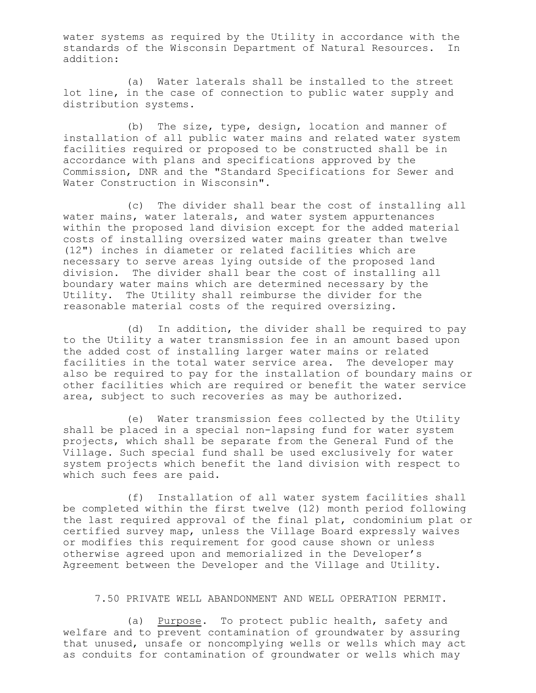water systems as required by the Utility in accordance with the standards of the Wisconsin Department of Natural Resources. In addition:

(a) Water laterals shall be installed to the street lot line, in the case of connection to public water supply and distribution systems.

(b) The size, type, design, location and manner of installation of all public water mains and related water system facilities required or proposed to be constructed shall be in accordance with plans and specifications approved by the Commission, DNR and the "Standard Specifications for Sewer and Water Construction in Wisconsin".

(c) The divider shall bear the cost of installing all water mains, water laterals, and water system appurtenances within the proposed land division except for the added material costs of installing oversized water mains greater than twelve (12") inches in diameter or related facilities which are necessary to serve areas lying outside of the proposed land division. The divider shall bear the cost of installing all boundary water mains which are determined necessary by the Utility. The Utility shall reimburse the divider for the reasonable material costs of the required oversizing.

(d) In addition, the divider shall be required to pay to the Utility a water transmission fee in an amount based upon the added cost of installing larger water mains or related facilities in the total water service area. The developer may also be required to pay for the installation of boundary mains or other facilities which are required or benefit the water service area, subject to such recoveries as may be authorized.

(e) Water transmission fees collected by the Utility shall be placed in a special non-lapsing fund for water system projects, which shall be separate from the General Fund of the Village. Such special fund shall be used exclusively for water system projects which benefit the land division with respect to which such fees are paid.

(f) Installation of all water system facilities shall be completed within the first twelve (12) month period following the last required approval of the final plat, condominium plat or certified survey map, unless the Village Board expressly waives or modifies this requirement for good cause shown or unless otherwise agreed upon and memorialized in the Developer's Agreement between the Developer and the Village and Utility.

### 7.50 PRIVATE WELL ABANDONMENT AND WELL OPERATION PERMIT.

(a) Purpose. To protect public health, safety and welfare and to prevent contamination of groundwater by assuring that unused, unsafe or noncomplying wells or wells which may act as conduits for contamination of groundwater or wells which may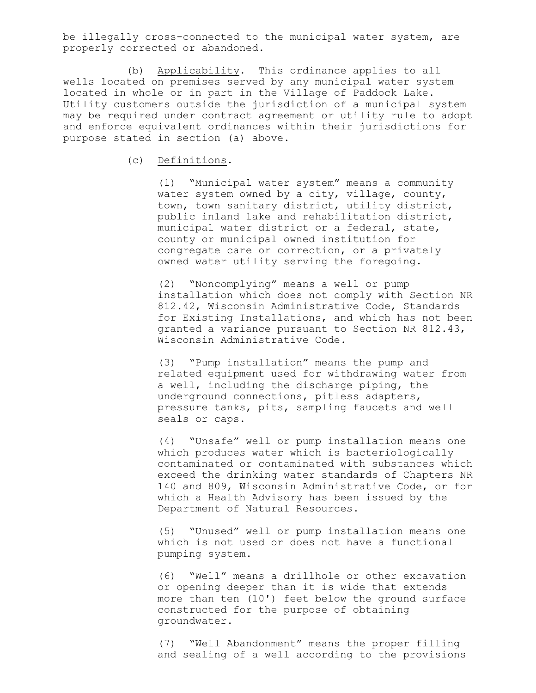be illegally cross-connected to the municipal water system, are properly corrected or abandoned.

(b) Applicability. This ordinance applies to all wells located on premises served by any municipal water system located in whole or in part in the Village of Paddock Lake. Utility customers outside the jurisdiction of a municipal system may be required under contract agreement or utility rule to adopt and enforce equivalent ordinances within their jurisdictions for purpose stated in section (a) above.

(c) Definitions.

(1) "Municipal water system" means a community water system owned by a city, village, county, town, town sanitary district, utility district, public inland lake and rehabilitation district, municipal water district or a federal, state, county or municipal owned institution for congregate care or correction, or a privately owned water utility serving the foregoing.

(2) "Noncomplying" means a well or pump installation which does not comply with Section NR 812.42, Wisconsin Administrative Code, Standards for Existing Installations, and which has not been granted a variance pursuant to Section NR 812.43, Wisconsin Administrative Code.

(3) "Pump installation" means the pump and related equipment used for withdrawing water from a well, including the discharge piping, the underground connections, pitless adapters, pressure tanks, pits, sampling faucets and well seals or caps.

(4) "Unsafe" well or pump installation means one which produces water which is bacteriologically contaminated or contaminated with substances which exceed the drinking water standards of Chapters NR 140 and 809, Wisconsin Administrative Code, or for which a Health Advisory has been issued by the Department of Natural Resources.

(5) "Unused" well or pump installation means one which is not used or does not have a functional pumping system.

(6) "Well" means a drillhole or other excavation or opening deeper than it is wide that extends more than ten (10') feet below the ground surface constructed for the purpose of obtaining groundwater.

(7) "Well Abandonment" means the proper filling and sealing of a well according to the provisions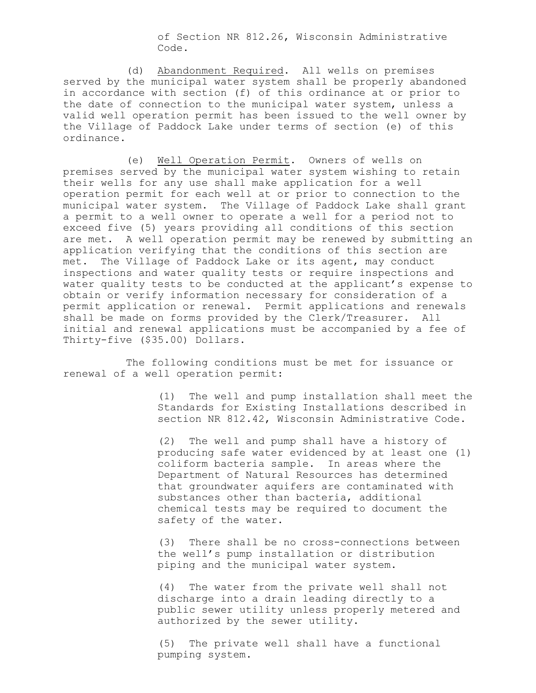of Section NR 812.26, Wisconsin Administrative Code.

(d) Abandonment Required. All wells on premises served by the municipal water system shall be properly abandoned in accordance with section (f) of this ordinance at or prior to the date of connection to the municipal water system, unless a valid well operation permit has been issued to the well owner by the Village of Paddock Lake under terms of section (e) of this ordinance.

(e) Well Operation Permit. Owners of wells on premises served by the municipal water system wishing to retain their wells for any use shall make application for a well operation permit for each well at or prior to connection to the municipal water system. The Village of Paddock Lake shall grant a permit to a well owner to operate a well for a period not to exceed five (5) years providing all conditions of this section are met. A well operation permit may be renewed by submitting an application verifying that the conditions of this section are met. The Village of Paddock Lake or its agent, may conduct inspections and water quality tests or require inspections and water quality tests to be conducted at the applicant's expense to obtain or verify information necessary for consideration of a permit application or renewal. Permit applications and renewals shall be made on forms provided by the Clerk/Treasurer. All initial and renewal applications must be accompanied by a fee of Thirty-five (\$35.00) Dollars.

The following conditions must be met for issuance or renewal of a well operation permit:

> (1) The well and pump installation shall meet the Standards for Existing Installations described in section NR 812.42, Wisconsin Administrative Code.

> (2) The well and pump shall have a history of producing safe water evidenced by at least one (1) coliform bacteria sample. In areas where the Department of Natural Resources has determined that groundwater aquifers are contaminated with substances other than bacteria, additional chemical tests may be required to document the safety of the water.

(3) There shall be no cross-connections between the well's pump installation or distribution piping and the municipal water system.

(4) The water from the private well shall not discharge into a drain leading directly to a public sewer utility unless properly metered and authorized by the sewer utility.

(5) The private well shall have a functional pumping system.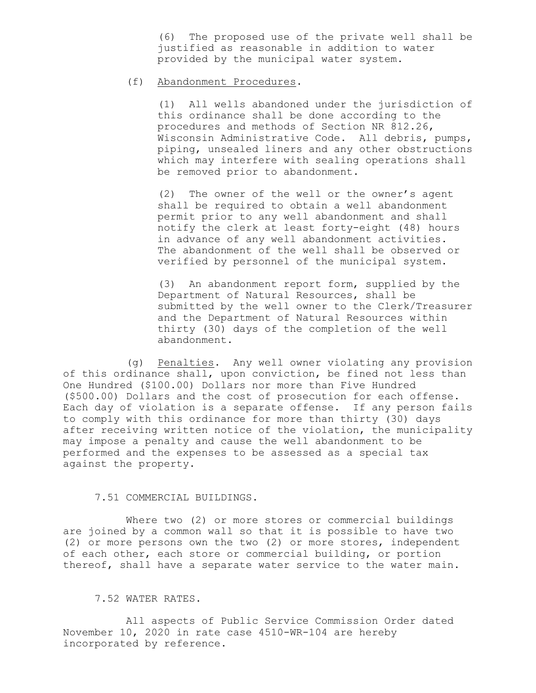(6) The proposed use of the private well shall be justified as reasonable in addition to water provided by the municipal water system.

# (f) Abandonment Procedures.

(1) All wells abandoned under the jurisdiction of this ordinance shall be done according to the procedures and methods of Section NR 812.26, Wisconsin Administrative Code. All debris, pumps, piping, unsealed liners and any other obstructions which may interfere with sealing operations shall be removed prior to abandonment.

(2) The owner of the well or the owner's agent shall be required to obtain a well abandonment permit prior to any well abandonment and shall notify the clerk at least forty-eight (48) hours in advance of any well abandonment activities. The abandonment of the well shall be observed or verified by personnel of the municipal system.

(3) An abandonment report form, supplied by the Department of Natural Resources, shall be submitted by the well owner to the Clerk/Treasurer and the Department of Natural Resources within thirty (30) days of the completion of the well abandonment.

(g) Penalties. Any well owner violating any provision of this ordinance shall, upon conviction, be fined not less than One Hundred (\$100.00) Dollars nor more than Five Hundred (\$500.00) Dollars and the cost of prosecution for each offense. Each day of violation is a separate offense. If any person fails to comply with this ordinance for more than thirty (30) days after receiving written notice of the violation, the municipality may impose a penalty and cause the well abandonment to be performed and the expenses to be assessed as a special tax against the property.

## 7.51 COMMERCIAL BUILDINGS.

Where two (2) or more stores or commercial buildings are joined by a common wall so that it is possible to have two (2) or more persons own the two (2) or more stores, independent of each other, each store or commercial building, or portion thereof, shall have a separate water service to the water main.

## 7.52 WATER RATES.

All aspects of Public Service Commission Order dated November 10, 2020 in rate case 4510-WR-104 are hereby incorporated by reference.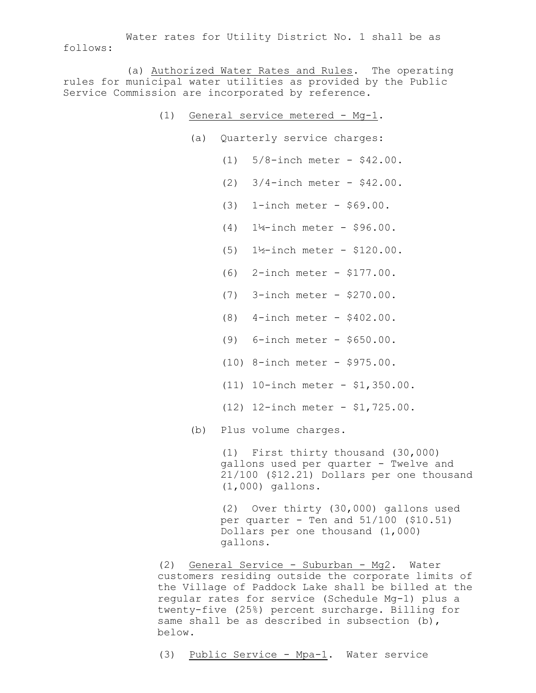Water rates for Utility District No. 1 shall be as follows:

(a) Authorized Water Rates and Rules. The operating rules for municipal water utilities as provided by the Public Service Commission are incorporated by reference.

- (1) General service metered Mg-1.
	- (a) Quarterly service charges:
		- (1) 5/8-inch meter \$42.00.
		- (2) 3/4-inch meter \$42.00.
		- (3) 1-inch meter \$69.00.
		- (4) 1¼-inch meter \$96.00.
		- (5) 1½-inch meter \$120.00.
		- (6) 2-inch meter \$177.00.
		- (7) 3-inch meter \$270.00.
		- (8) 4-inch meter \$402.00.
		- (9) 6-inch meter \$650.00.
		- (10) 8-inch meter \$975.00.
		- (11) 10-inch meter \$1,350.00.
		- (12) 12-inch meter \$1,725.00.

(b) Plus volume charges.

(1) First thirty thousand (30,000) gallons used per quarter - Twelve and 21/100 (\$12.21) Dollars per one thousand (1,000) gallons.

(2) Over thirty (30,000) gallons used per quarter - Ten and 51/100 (\$10.51) Dollars per one thousand (1,000) gallons.

(2) General Service - Suburban - Mg2. Water customers residing outside the corporate limits of the Village of Paddock Lake shall be billed at the regular rates for service (Schedule Mg-1) plus a twenty-five (25%) percent surcharge. Billing for same shall be as described in subsection (b), below.

(3) Public Service - Mpa-1. Water service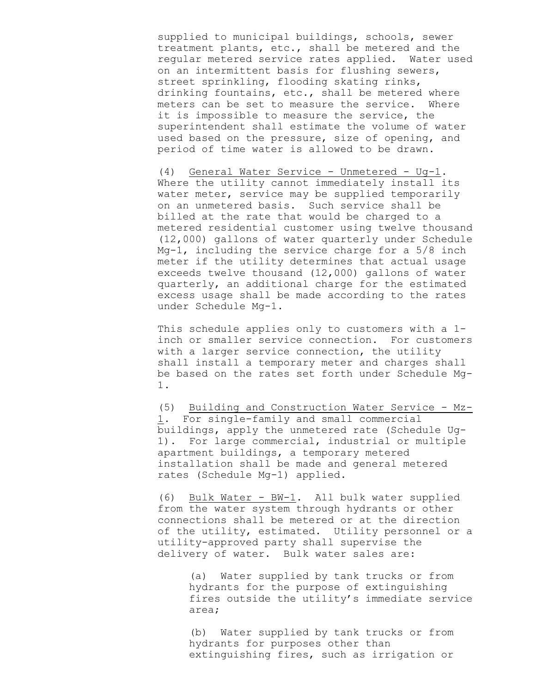supplied to municipal buildings, schools, sewer treatment plants, etc., shall be metered and the regular metered service rates applied. Water used on an intermittent basis for flushing sewers, street sprinkling, flooding skating rinks, drinking fountains, etc., shall be metered where meters can be set to measure the service. Where it is impossible to measure the service, the superintendent shall estimate the volume of water used based on the pressure, size of opening, and period of time water is allowed to be drawn.

(4) General Water Service - Unmetered - Ug-1. Where the utility cannot immediately install its water meter, service may be supplied temporarily on an unmetered basis. Such service shall be billed at the rate that would be charged to a metered residential customer using twelve thousand (12,000) gallons of water quarterly under Schedule Mg-1, including the service charge for a 5/8 inch meter if the utility determines that actual usage exceeds twelve thousand (12,000) gallons of water quarterly, an additional charge for the estimated excess usage shall be made according to the rates under Schedule Mg-1.

This schedule applies only to customers with a 1 inch or smaller service connection. For customers with a larger service connection, the utility shall install a temporary meter and charges shall be based on the rates set forth under Schedule Mg-1.

(5) Building and Construction Water Service - Mz-1. For single-family and small commercial buildings, apply the unmetered rate (Schedule Ug-1). For large commercial, industrial or multiple apartment buildings, a temporary metered installation shall be made and general metered rates (Schedule Mg-1) applied.

(6) Bulk Water - BW-1. All bulk water supplied from the water system through hydrants or other connections shall be metered or at the direction of the utility, estimated. Utility personnel or a utility-approved party shall supervise the delivery of water. Bulk water sales are:

(a) Water supplied by tank trucks or from hydrants for the purpose of extinguishing fires outside the utility's immediate service area;

(b) Water supplied by tank trucks or from hydrants for purposes other than extinguishing fires, such as irrigation or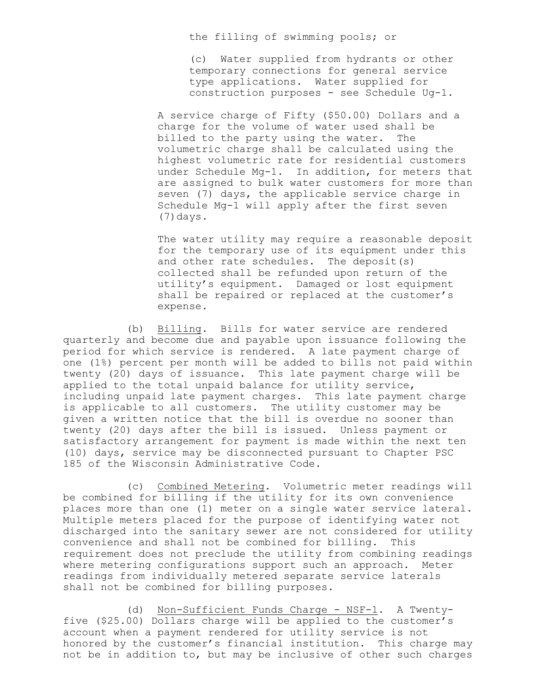the filling of swimming pools; or

(c) Water supplied from hydrants or other temporary connections for general service type applications. Water supplied for construction purposes - see Schedule Ug-1.

A service charge of Fifty (\$50.00) Dollars and a charge for the volume of water used shall be billed to the party using the water. The volumetric charge shall be calculated using the highest volumetric rate for residential customers under Schedule Mg-1. In addition, for meters that are assigned to bulk water customers for more than seven (7) days, the applicable service charge in Schedule Mg-1 will apply after the first seven (7)days.

The water utility may require a reasonable deposit for the temporary use of its equipment under this and other rate schedules. The deposit(s) collected shall be refunded upon return of the utility's equipment. Damaged or lost equipment shall be repaired or replaced at the customer's expense.

(b) Billing. Bills for water service are rendered quarterly and become due and payable upon issuance following the period for which service is rendered. A late payment charge of one (1%) percent per month will be added to bills not paid within twenty (20) days of issuance. This late payment charge will be applied to the total unpaid balance for utility service, including unpaid late payment charges. This late payment charge is applicable to all customers. The utility customer may be given a written notice that the bill is overdue no sooner than twenty (20) days after the bill is issued. Unless payment or satisfactory arrangement for payment is made within the next ten (10) days, service may be disconnected pursuant to Chapter PSC 185 of the Wisconsin Administrative Code.

(c) Combined Metering. Volumetric meter readings will be combined for billing if the utility for its own convenience places more than one (1) meter on a single water service lateral. Multiple meters placed for the purpose of identifying water not discharged into the sanitary sewer are not considered for utility convenience and shall not be combined for billing. This requirement does not preclude the utility from combining readings where metering configurations support such an approach. Meter readings from individually metered separate service laterals shall not be combined for billing purposes.

(d) Non-Sufficient Funds Charge - NSF-1. A Twentyfive (\$25.00) Dollars charge will be applied to the customer's account when a payment rendered for utility service is not honored by the customer's financial institution. This charge may not be in addition to, but may be inclusive of other such charges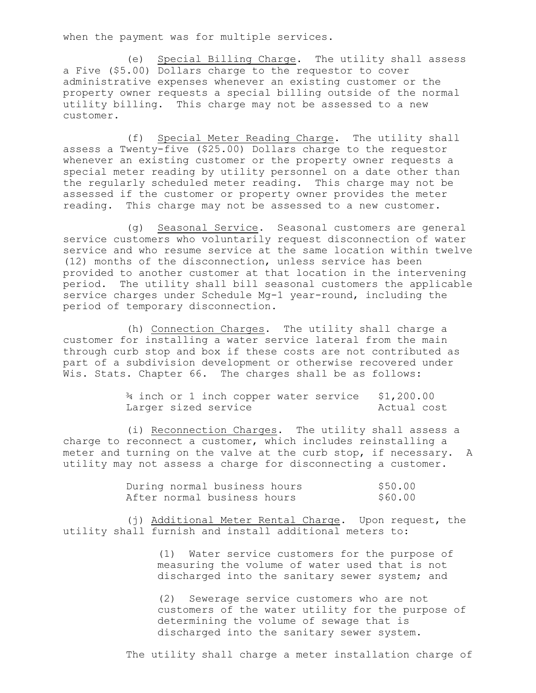when the payment was for multiple services.

(e) Special Billing Charge. The utility shall assess a Five (\$5.00) Dollars charge to the requestor to cover administrative expenses whenever an existing customer or the property owner requests a special billing outside of the normal utility billing. This charge may not be assessed to a new customer.

(f) Special Meter Reading Charge. The utility shall assess a Twenty-five (\$25.00) Dollars charge to the requestor whenever an existing customer or the property owner requests a special meter reading by utility personnel on a date other than the regularly scheduled meter reading. This charge may not be assessed if the customer or property owner provides the meter reading. This charge may not be assessed to a new customer.

(g) Seasonal Service. Seasonal customers are general service customers who voluntarily request disconnection of water service and who resume service at the same location within twelve (12) months of the disconnection, unless service has been provided to another customer at that location in the intervening period. The utility shall bill seasonal customers the applicable service charges under Schedule Mg-1 year-round, including the period of temporary disconnection.

(h) Connection Charges. The utility shall charge a customer for installing a water service lateral from the main through curb stop and box if these costs are not contributed as part of a subdivision development or otherwise recovered under Wis. Stats. Chapter 66. The charges shall be as follows:

> ¾ inch or 1 inch copper water service \$1,200.00 Larger sized service and actual cost

(i) Reconnection Charges. The utility shall assess a charge to reconnect a customer, which includes reinstalling a meter and turning on the valve at the curb stop, if necessary. A utility may not assess a charge for disconnecting a customer.

| During normal business hours |  | \$50.00 |
|------------------------------|--|---------|
| After normal business hours  |  | \$60.00 |

(j) Additional Meter Rental Charge. Upon request, the utility shall furnish and install additional meters to:

> (1) Water service customers for the purpose of measuring the volume of water used that is not discharged into the sanitary sewer system; and

(2) Sewerage service customers who are not customers of the water utility for the purpose of determining the volume of sewage that is discharged into the sanitary sewer system.

The utility shall charge a meter installation charge of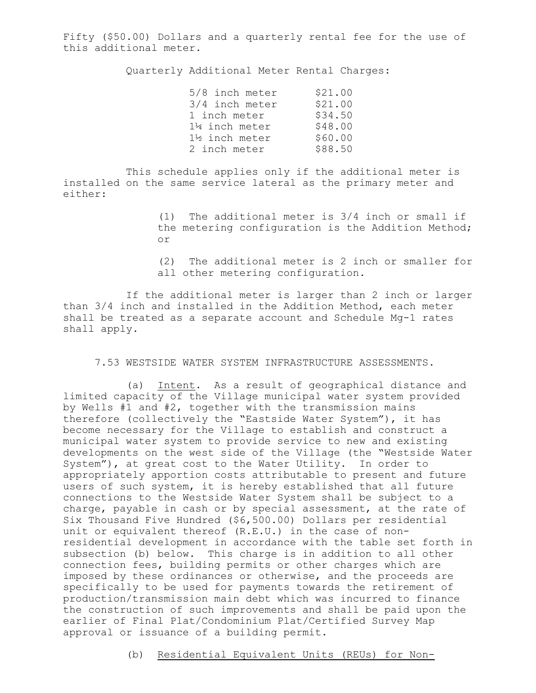Fifty (\$50.00) Dollars and a quarterly rental fee for the use of this additional meter.

Quarterly Additional Meter Rental Charges:

| 5/8 inch meter            | \$21.00 |
|---------------------------|---------|
| 3/4 inch meter            | \$21.00 |
| 1 inch meter              | \$34.50 |
| $1\frac{1}{4}$ inch meter | \$48.00 |
| 1½ inch meter             | \$60.00 |
| 2 inch meter              | \$88.50 |

This schedule applies only if the additional meter is installed on the same service lateral as the primary meter and either:

> (1) The additional meter is 3/4 inch or small if the metering configuration is the Addition Method; or

> (2) The additional meter is 2 inch or smaller for all other metering configuration.

If the additional meter is larger than 2 inch or larger than 3/4 inch and installed in the Addition Method, each meter shall be treated as a separate account and Schedule Mg-1 rates shall apply.

7.53 WESTSIDE WATER SYSTEM INFRASTRUCTURE ASSESSMENTS.

(a) Intent. As a result of geographical distance and limited capacity of the Village municipal water system provided by Wells #1 and #2, together with the transmission mains therefore (collectively the "Eastside Water System"), it has become necessary for the Village to establish and construct a municipal water system to provide service to new and existing developments on the west side of the Village (the "Westside Water System"), at great cost to the Water Utility. In order to appropriately apportion costs attributable to present and future users of such system, it is hereby established that all future connections to the Westside Water System shall be subject to a charge, payable in cash or by special assessment, at the rate of Six Thousand Five Hundred (\$6,500.00) Dollars per residential unit or equivalent thereof (R.E.U.) in the case of nonresidential development in accordance with the table set forth in subsection (b) below. This charge is in addition to all other connection fees, building permits or other charges which are imposed by these ordinances or otherwise, and the proceeds are specifically to be used for payments towards the retirement of production/transmission main debt which was incurred to finance the construction of such improvements and shall be paid upon the earlier of Final Plat/Condominium Plat/Certified Survey Map approval or issuance of a building permit.

(b) Residential Equivalent Units (REUs) for Non-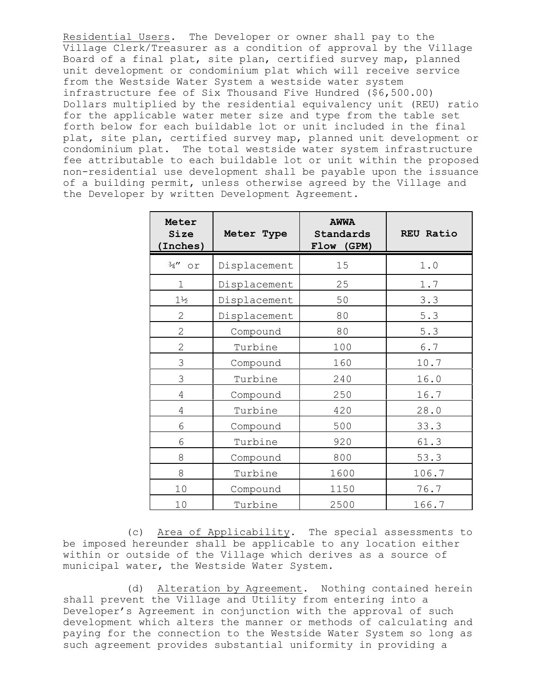Residential Users. The Developer or owner shall pay to the Village Clerk/Treasurer as a condition of approval by the Village Board of a final plat, site plan, certified survey map, planned unit development or condominium plat which will receive service from the Westside Water System a westside water system infrastructure fee of Six Thousand Five Hundred (\$6,500.00) Dollars multiplied by the residential equivalency unit (REU) ratio for the applicable water meter size and type from the table set forth below for each buildable lot or unit included in the final plat, site plan, certified survey map, planned unit development or condominium plat. The total westside water system infrastructure fee attributable to each buildable lot or unit within the proposed non-residential use development shall be payable upon the issuance of a building permit, unless otherwise agreed by the Village and the Developer by written Development Agreement.

| Meter<br><b>Size</b><br>Inches) | Meter Type   | <b>AWWA</b><br>Standards<br>Flow<br>(GPM) | <b>REU Ratio</b> |
|---------------------------------|--------------|-------------------------------------------|------------------|
| $\frac{3}{4}$ " or              | Displacement | 15                                        | 1.0              |
| $\overline{1}$                  | Displacement | 25                                        | 1.7              |
| $1\frac{1}{2}$                  | Displacement | 50                                        | 3.3              |
| $\overline{2}$                  | Displacement | 80                                        | 5.3              |
| $\overline{2}$                  | Compound     | 80                                        | 5.3              |
| $\overline{2}$                  | Turbine      | 100                                       | $6.7\,$          |
| 3                               | Compound     | 160                                       | 10.7             |
| 3                               | Turbine      | 240                                       | 16.0             |
| 4                               | Compound     | 250                                       | 16.7             |
| 4                               | Turbine      | 420                                       | 28.0             |
| 6                               | Compound     | 500                                       | 33.3             |
| 6                               | Turbine      | 920                                       | 61.3             |
| 8                               | Compound     | 800                                       | 53.3             |
| 8                               | Turbine      | 1600                                      | 106.7            |
| 10                              | Compound     | 1150                                      | 76.7             |
| 10                              | Turbine      | 2500                                      | 166.7            |

(c) Area of Applicability. The special assessments to be imposed hereunder shall be applicable to any location either within or outside of the Village which derives as a source of municipal water, the Westside Water System.

(d) Alteration by Agreement. Nothing contained herein shall prevent the Village and Utility from entering into a Developer's Agreement in conjunction with the approval of such development which alters the manner or methods of calculating and paying for the connection to the Westside Water System so long as such agreement provides substantial uniformity in providing a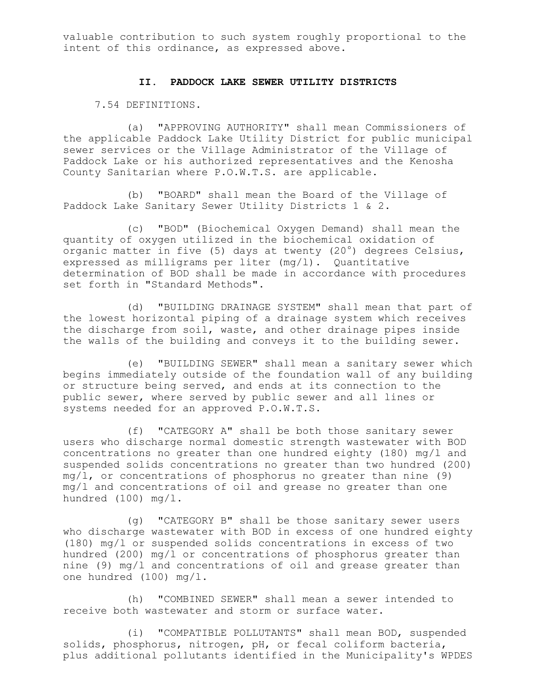valuable contribution to such system roughly proportional to the intent of this ordinance, as expressed above.

# **II. PADDOCK LAKE SEWER UTILITY DISTRICTS**

7.54 DEFINITIONS.

(a) "APPROVING AUTHORITY" shall mean Commissioners of the applicable Paddock Lake Utility District for public municipal sewer services or the Village Administrator of the Village of Paddock Lake or his authorized representatives and the Kenosha County Sanitarian where P.O.W.T.S. are applicable.

(b) "BOARD" shall mean the Board of the Village of Paddock Lake Sanitary Sewer Utility Districts 1 & 2.

(c) "BOD" (Biochemical Oxygen Demand) shall mean the quantity of oxygen utilized in the biochemical oxidation of organic matter in five (5) days at twenty (20 $^{\circ}$ ) degrees Celsius, expressed as milligrams per liter (mg/l). Quantitative determination of BOD shall be made in accordance with procedures set forth in "Standard Methods".

(d) "BUILDING DRAINAGE SYSTEM" shall mean that part of the lowest horizontal piping of a drainage system which receives the discharge from soil, waste, and other drainage pipes inside the walls of the building and conveys it to the building sewer.

(e) "BUILDING SEWER" shall mean a sanitary sewer which begins immediately outside of the foundation wall of any building or structure being served, and ends at its connection to the public sewer, where served by public sewer and all lines or systems needed for an approved P.O.W.T.S.

(f) "CATEGORY A" shall be both those sanitary sewer users who discharge normal domestic strength wastewater with BOD concentrations no greater than one hundred eighty (180) mg/l and suspended solids concentrations no greater than two hundred (200) mg/l, or concentrations of phosphorus no greater than nine (9) mg/l and concentrations of oil and grease no greater than one hundred (100) mg/l.

(g) "CATEGORY B" shall be those sanitary sewer users who discharge wastewater with BOD in excess of one hundred eighty (180) mg/l or suspended solids concentrations in excess of two hundred (200) mg/l or concentrations of phosphorus greater than nine (9) mg/l and concentrations of oil and grease greater than one hundred (100) mg/l.

(h) "COMBINED SEWER" shall mean a sewer intended to receive both wastewater and storm or surface water.

(i) "COMPATIBLE POLLUTANTS" shall mean BOD, suspended solids, phosphorus, nitrogen, pH, or fecal coliform bacteria, plus additional pollutants identified in the Municipality's WPDES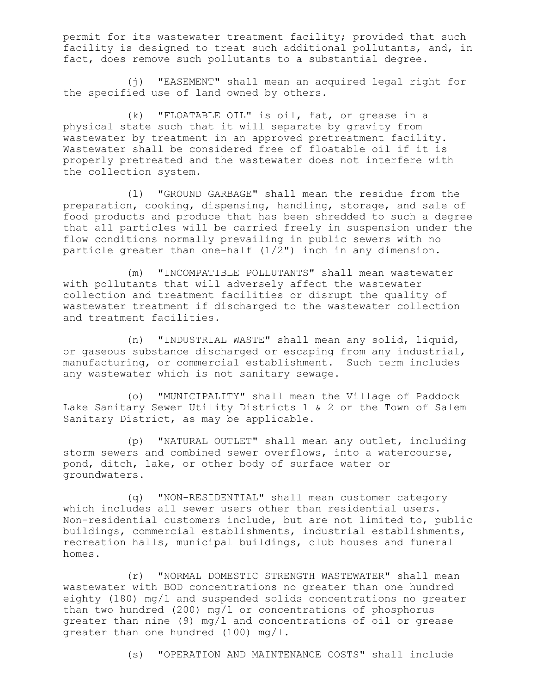permit for its wastewater treatment facility; provided that such facility is designed to treat such additional pollutants, and, in fact, does remove such pollutants to a substantial degree.

(j) "EASEMENT" shall mean an acquired legal right for the specified use of land owned by others.

(k) "FLOATABLE OIL" is oil, fat, or grease in a physical state such that it will separate by gravity from wastewater by treatment in an approved pretreatment facility. Wastewater shall be considered free of floatable oil if it is properly pretreated and the wastewater does not interfere with the collection system.

(l) "GROUND GARBAGE" shall mean the residue from the preparation, cooking, dispensing, handling, storage, and sale of food products and produce that has been shredded to such a degree that all particles will be carried freely in suspension under the flow conditions normally prevailing in public sewers with no particle greater than one-half (1/2") inch in any dimension.

(m) "INCOMPATIBLE POLLUTANTS" shall mean wastewater with pollutants that will adversely affect the wastewater collection and treatment facilities or disrupt the quality of wastewater treatment if discharged to the wastewater collection and treatment facilities.

(n) "INDUSTRIAL WASTE" shall mean any solid, liquid, or gaseous substance discharged or escaping from any industrial, manufacturing, or commercial establishment. Such term includes any wastewater which is not sanitary sewage.

(o) "MUNICIPALITY" shall mean the Village of Paddock Lake Sanitary Sewer Utility Districts 1 & 2 or the Town of Salem Sanitary District, as may be applicable.

(p) "NATURAL OUTLET" shall mean any outlet, including storm sewers and combined sewer overflows, into a watercourse, pond, ditch, lake, or other body of surface water or groundwaters.

(q) "NON-RESIDENTIAL" shall mean customer category which includes all sewer users other than residential users. Non-residential customers include, but are not limited to, public buildings, commercial establishments, industrial establishments, recreation halls, municipal buildings, club houses and funeral homes.

(r) "NORMAL DOMESTIC STRENGTH WASTEWATER" shall mean wastewater with BOD concentrations no greater than one hundred eighty (180) mg/l and suspended solids concentrations no greater than two hundred (200) mg/l or concentrations of phosphorus greater than nine (9) mg/l and concentrations of oil or grease greater than one hundred (100) mg/l.

(s) "OPERATION AND MAINTENANCE COSTS" shall include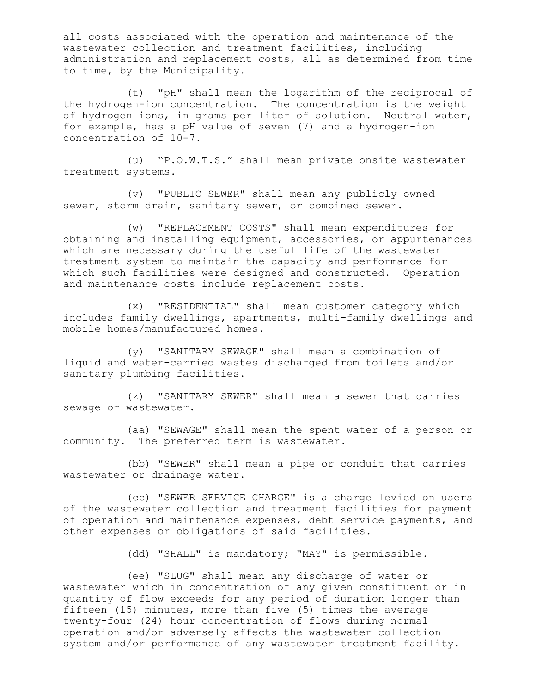all costs associated with the operation and maintenance of the wastewater collection and treatment facilities, including administration and replacement costs, all as determined from time to time, by the Municipality.

(t) "pH" shall mean the logarithm of the reciprocal of the hydrogen-ion concentration. The concentration is the weight of hydrogen ions, in grams per liter of solution. Neutral water, for example, has a pH value of seven (7) and a hydrogen-ion concentration of 10-7.

(u) "P.O.W.T.S." shall mean private onsite wastewater treatment systems.

(v) "PUBLIC SEWER" shall mean any publicly owned sewer, storm drain, sanitary sewer, or combined sewer.

(w) "REPLACEMENT COSTS" shall mean expenditures for obtaining and installing equipment, accessories, or appurtenances which are necessary during the useful life of the wastewater treatment system to maintain the capacity and performance for which such facilities were designed and constructed. Operation and maintenance costs include replacement costs.

(x) "RESIDENTIAL" shall mean customer category which includes family dwellings, apartments, multi-family dwellings and mobile homes/manufactured homes.

(y) "SANITARY SEWAGE" shall mean a combination of liquid and water-carried wastes discharged from toilets and/or sanitary plumbing facilities.

(z) "SANITARY SEWER" shall mean a sewer that carries sewage or wastewater.

(aa) "SEWAGE" shall mean the spent water of a person or community. The preferred term is wastewater.

(bb) "SEWER" shall mean a pipe or conduit that carries wastewater or drainage water.

(cc) "SEWER SERVICE CHARGE" is a charge levied on users of the wastewater collection and treatment facilities for payment of operation and maintenance expenses, debt service payments, and other expenses or obligations of said facilities.

(dd) "SHALL" is mandatory; "MAY" is permissible.

(ee) "SLUG" shall mean any discharge of water or wastewater which in concentration of any given constituent or in quantity of flow exceeds for any period of duration longer than fifteen (15) minutes, more than five (5) times the average twenty-four (24) hour concentration of flows during normal operation and/or adversely affects the wastewater collection system and/or performance of any wastewater treatment facility.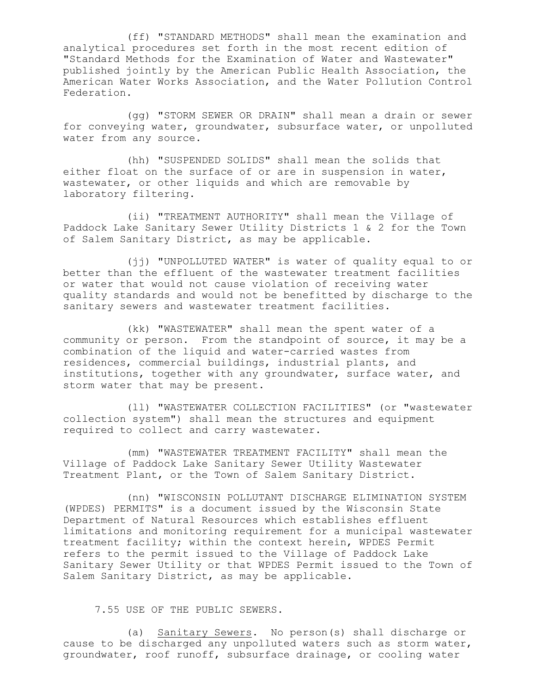(ff) "STANDARD METHODS" shall mean the examination and analytical procedures set forth in the most recent edition of "Standard Methods for the Examination of Water and Wastewater" published jointly by the American Public Health Association, the American Water Works Association, and the Water Pollution Control Federation.

(gg) "STORM SEWER OR DRAIN" shall mean a drain or sewer for conveying water, groundwater, subsurface water, or unpolluted water from any source.

(hh) "SUSPENDED SOLIDS" shall mean the solids that either float on the surface of or are in suspension in water, wastewater, or other liquids and which are removable by laboratory filtering.

(ii) "TREATMENT AUTHORITY" shall mean the Village of Paddock Lake Sanitary Sewer Utility Districts 1 & 2 for the Town of Salem Sanitary District, as may be applicable.

(jj) "UNPOLLUTED WATER" is water of quality equal to or better than the effluent of the wastewater treatment facilities or water that would not cause violation of receiving water quality standards and would not be benefitted by discharge to the sanitary sewers and wastewater treatment facilities.

(kk) "WASTEWATER" shall mean the spent water of a community or person. From the standpoint of source, it may be a combination of the liquid and water-carried wastes from residences, commercial buildings, industrial plants, and institutions, together with any groundwater, surface water, and storm water that may be present.

(ll) "WASTEWATER COLLECTION FACILITIES" (or "wastewater collection system") shall mean the structures and equipment required to collect and carry wastewater.

(mm) "WASTEWATER TREATMENT FACILITY" shall mean the Village of Paddock Lake Sanitary Sewer Utility Wastewater Treatment Plant, or the Town of Salem Sanitary District.

(nn) "WISCONSIN POLLUTANT DISCHARGE ELIMINATION SYSTEM (WPDES) PERMITS" is a document issued by the Wisconsin State Department of Natural Resources which establishes effluent limitations and monitoring requirement for a municipal wastewater treatment facility; within the context herein, WPDES Permit refers to the permit issued to the Village of Paddock Lake Sanitary Sewer Utility or that WPDES Permit issued to the Town of Salem Sanitary District, as may be applicable.

7.55 USE OF THE PUBLIC SEWERS.

(a) Sanitary Sewers. No person(s) shall discharge or cause to be discharged any unpolluted waters such as storm water, groundwater, roof runoff, subsurface drainage, or cooling water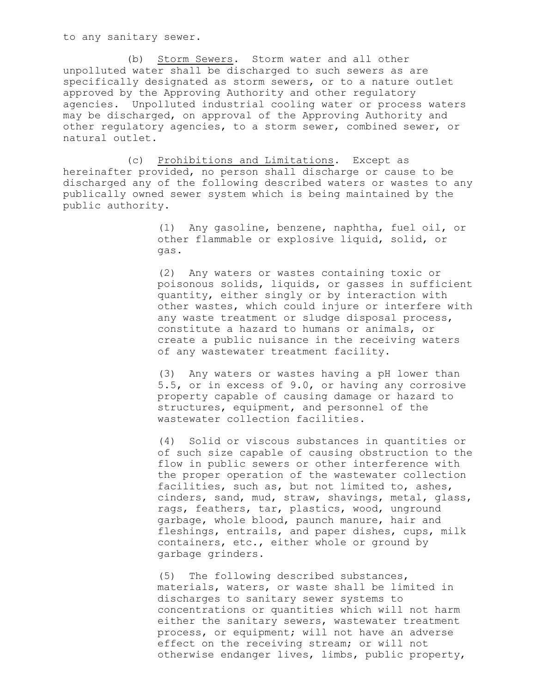to any sanitary sewer.

(b) Storm Sewers. Storm water and all other unpolluted water shall be discharged to such sewers as are specifically designated as storm sewers, or to a nature outlet approved by the Approving Authority and other regulatory agencies. Unpolluted industrial cooling water or process waters may be discharged, on approval of the Approving Authority and other regulatory agencies, to a storm sewer, combined sewer, or natural outlet.

(c) Prohibitions and Limitations. Except as hereinafter provided, no person shall discharge or cause to be discharged any of the following described waters or wastes to any publically owned sewer system which is being maintained by the public authority.

> (1) Any gasoline, benzene, naphtha, fuel oil, or other flammable or explosive liquid, solid, or gas.

(2) Any waters or wastes containing toxic or poisonous solids, liquids, or gasses in sufficient quantity, either singly or by interaction with other wastes, which could injure or interfere with any waste treatment or sludge disposal process, constitute a hazard to humans or animals, or create a public nuisance in the receiving waters of any wastewater treatment facility.

(3) Any waters or wastes having a pH lower than 5.5, or in excess of 9.0, or having any corrosive property capable of causing damage or hazard to structures, equipment, and personnel of the wastewater collection facilities.

(4) Solid or viscous substances in quantities or of such size capable of causing obstruction to the flow in public sewers or other interference with the proper operation of the wastewater collection facilities, such as, but not limited to, ashes, cinders, sand, mud, straw, shavings, metal, glass, rags, feathers, tar, plastics, wood, unground garbage, whole blood, paunch manure, hair and fleshings, entrails, and paper dishes, cups, milk containers, etc., either whole or ground by garbage grinders.

(5) The following described substances, materials, waters, or waste shall be limited in discharges to sanitary sewer systems to concentrations or quantities which will not harm either the sanitary sewers, wastewater treatment process, or equipment; will not have an adverse effect on the receiving stream; or will not otherwise endanger lives, limbs, public property,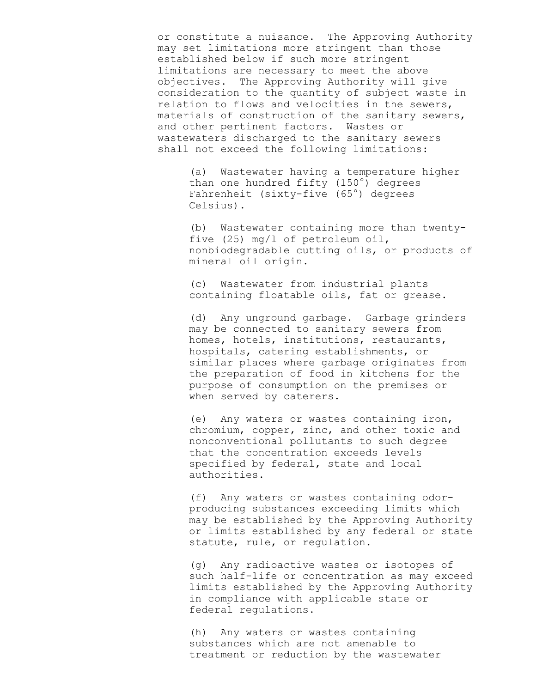or constitute a nuisance. The Approving Authority may set limitations more stringent than those established below if such more stringent limitations are necessary to meet the above objectives. The Approving Authority will give consideration to the quantity of subject waste in relation to flows and velocities in the sewers, materials of construction of the sanitary sewers, and other pertinent factors. Wastes or wastewaters discharged to the sanitary sewers shall not exceed the following limitations:

(a) Wastewater having a temperature higher than one hundred fifty  $(150^{\circ})$  degrees Fahrenheit (sixty-five (65°) degrees Celsius).

(b) Wastewater containing more than twentyfive (25) mg/l of petroleum oil, nonbiodegradable cutting oils, or products of mineral oil origin.

(c) Wastewater from industrial plants containing floatable oils, fat or grease.

(d) Any unground garbage. Garbage grinders may be connected to sanitary sewers from homes, hotels, institutions, restaurants, hospitals, catering establishments, or similar places where garbage originates from the preparation of food in kitchens for the purpose of consumption on the premises or when served by caterers.

(e) Any waters or wastes containing iron, chromium, copper, zinc, and other toxic and nonconventional pollutants to such degree that the concentration exceeds levels specified by federal, state and local authorities.

(f) Any waters or wastes containing odorproducing substances exceeding limits which may be established by the Approving Authority or limits established by any federal or state statute, rule, or regulation.

(g) Any radioactive wastes or isotopes of such half-life or concentration as may exceed limits established by the Approving Authority in compliance with applicable state or federal regulations.

(h) Any waters or wastes containing substances which are not amenable to treatment or reduction by the wastewater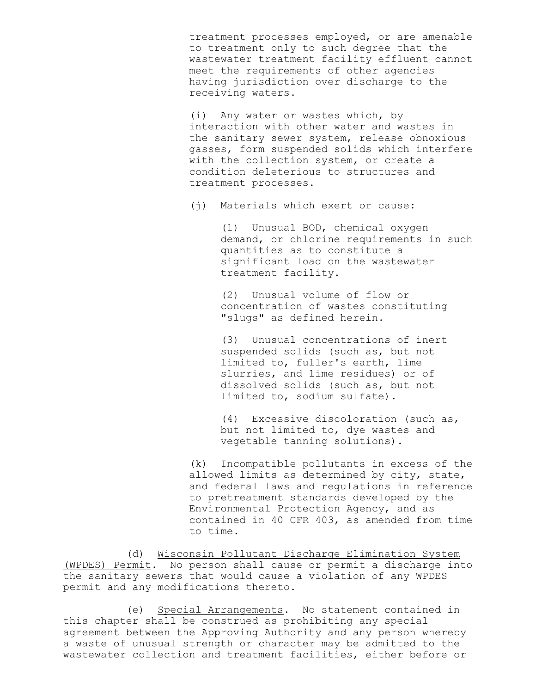treatment processes employed, or are amenable to treatment only to such degree that the wastewater treatment facility effluent cannot meet the requirements of other agencies having jurisdiction over discharge to the receiving waters.

(i) Any water or wastes which, by interaction with other water and wastes in the sanitary sewer system, release obnoxious gasses, form suspended solids which interfere with the collection system, or create a condition deleterious to structures and treatment processes.

(j) Materials which exert or cause:

(1) Unusual BOD, chemical oxygen demand, or chlorine requirements in such quantities as to constitute a significant load on the wastewater treatment facility.

 (2) Unusual volume of flow or concentration of wastes constituting "slugs" as defined herein.

 (3) Unusual concentrations of inert suspended solids (such as, but not limited to, fuller's earth, lime slurries, and lime residues) or of dissolved solids (such as, but not limited to, sodium sulfate).

 (4) Excessive discoloration (such as, but not limited to, dye wastes and vegetable tanning solutions).

(k) Incompatible pollutants in excess of the allowed limits as determined by city, state, and federal laws and regulations in reference to pretreatment standards developed by the Environmental Protection Agency, and as contained in 40 CFR 403, as amended from time to time.

(d) Wisconsin Pollutant Discharge Elimination System (WPDES) Permit. No person shall cause or permit a discharge into the sanitary sewers that would cause a violation of any WPDES permit and any modifications thereto.

(e) Special Arrangements. No statement contained in this chapter shall be construed as prohibiting any special agreement between the Approving Authority and any person whereby a waste of unusual strength or character may be admitted to the wastewater collection and treatment facilities, either before or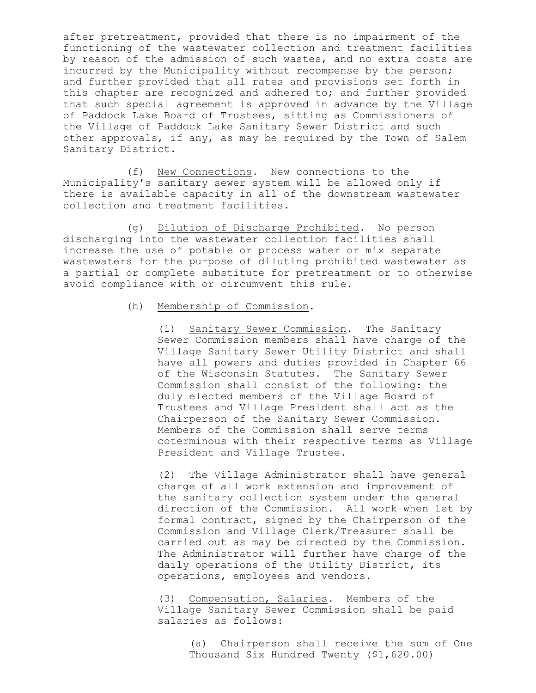after pretreatment, provided that there is no impairment of the functioning of the wastewater collection and treatment facilities by reason of the admission of such wastes, and no extra costs are incurred by the Municipality without recompense by the person; and further provided that all rates and provisions set forth in this chapter are recognized and adhered to; and further provided that such special agreement is approved in advance by the Village of Paddock Lake Board of Trustees, sitting as Commissioners of the Village of Paddock Lake Sanitary Sewer District and such other approvals, if any, as may be required by the Town of Salem Sanitary District.

(f) New Connections. New connections to the Municipality's sanitary sewer system will be allowed only if there is available capacity in all of the downstream wastewater collection and treatment facilities.

(g) Dilution of Discharge Prohibited. No person discharging into the wastewater collection facilities shall increase the use of potable or process water or mix separate wastewaters for the purpose of diluting prohibited wastewater as a partial or complete substitute for pretreatment or to otherwise avoid compliance with or circumvent this rule.

# (h) Membership of Commission.

(1) Sanitary Sewer Commission. The Sanitary Sewer Commission members shall have charge of the Village Sanitary Sewer Utility District and shall have all powers and duties provided in Chapter 66 of the Wisconsin Statutes. The Sanitary Sewer Commission shall consist of the following: the duly elected members of the Village Board of Trustees and Village President shall act as the Chairperson of the Sanitary Sewer Commission. Members of the Commission shall serve terms coterminous with their respective terms as Village President and Village Trustee.

(2) The Village Administrator shall have general charge of all work extension and improvement of the sanitary collection system under the general direction of the Commission. All work when let by formal contract, signed by the Chairperson of the Commission and Village Clerk/Treasurer shall be carried out as may be directed by the Commission. The Administrator will further have charge of the daily operations of the Utility District, its operations, employees and vendors.

(3) Compensation, Salaries. Members of the Village Sanitary Sewer Commission shall be paid salaries as follows:

> (a) Chairperson shall receive the sum of One Thousand Six Hundred Twenty (\$1,620.00)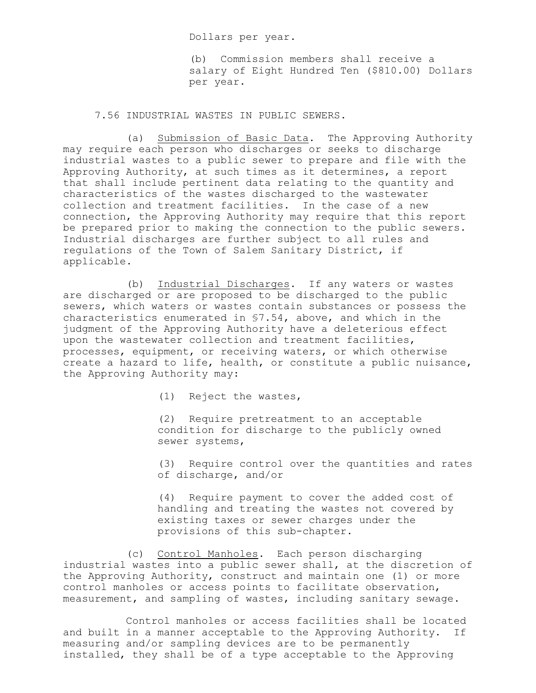Dollars per year.

(b) Commission members shall receive a salary of Eight Hundred Ten (\$810.00) Dollars per year.

7.56 INDUSTRIAL WASTES IN PUBLIC SEWERS.

(a) Submission of Basic Data. The Approving Authority may require each person who discharges or seeks to discharge industrial wastes to a public sewer to prepare and file with the Approving Authority, at such times as it determines, a report that shall include pertinent data relating to the quantity and characteristics of the wastes discharged to the wastewater collection and treatment facilities. In the case of a new connection, the Approving Authority may require that this report be prepared prior to making the connection to the public sewers. Industrial discharges are further subject to all rules and regulations of the Town of Salem Sanitary District, if applicable.

(b) Industrial Discharges. If any waters or wastes are discharged or are proposed to be discharged to the public sewers, which waters or wastes contain substances or possess the characteristics enumerated in §7.54, above, and which in the judgment of the Approving Authority have a deleterious effect upon the wastewater collection and treatment facilities, processes, equipment, or receiving waters, or which otherwise create a hazard to life, health, or constitute a public nuisance, the Approving Authority may:

(1) Reject the wastes,

(2) Require pretreatment to an acceptable condition for discharge to the publicly owned sewer systems,

(3) Require control over the quantities and rates of discharge, and/or

(4) Require payment to cover the added cost of handling and treating the wastes not covered by existing taxes or sewer charges under the provisions of this sub-chapter.

(c) Control Manholes. Each person discharging industrial wastes into a public sewer shall, at the discretion of the Approving Authority, construct and maintain one (1) or more control manholes or access points to facilitate observation, measurement, and sampling of wastes, including sanitary sewage.

Control manholes or access facilities shall be located and built in a manner acceptable to the Approving Authority. If measuring and/or sampling devices are to be permanently installed, they shall be of a type acceptable to the Approving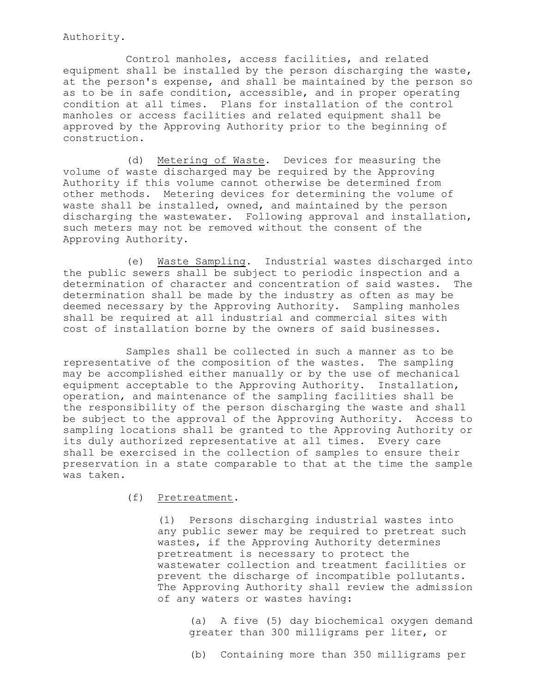Authority.

Control manholes, access facilities, and related equipment shall be installed by the person discharging the waste, at the person's expense, and shall be maintained by the person so as to be in safe condition, accessible, and in proper operating condition at all times. Plans for installation of the control manholes or access facilities and related equipment shall be approved by the Approving Authority prior to the beginning of construction.

(d) Metering of Waste. Devices for measuring the volume of waste discharged may be required by the Approving Authority if this volume cannot otherwise be determined from other methods. Metering devices for determining the volume of waste shall be installed, owned, and maintained by the person discharging the wastewater. Following approval and installation, such meters may not be removed without the consent of the Approving Authority.

(e) Waste Sampling. Industrial wastes discharged into the public sewers shall be subject to periodic inspection and a determination of character and concentration of said wastes. The determination shall be made by the industry as often as may be deemed necessary by the Approving Authority. Sampling manholes shall be required at all industrial and commercial sites with cost of installation borne by the owners of said businesses.

Samples shall be collected in such a manner as to be representative of the composition of the wastes. The sampling may be accomplished either manually or by the use of mechanical equipment acceptable to the Approving Authority. Installation, operation, and maintenance of the sampling facilities shall be the responsibility of the person discharging the waste and shall be subject to the approval of the Approving Authority. Access to sampling locations shall be granted to the Approving Authority or its duly authorized representative at all times. Every care shall be exercised in the collection of samples to ensure their preservation in a state comparable to that at the time the sample was taken.

(f) Pretreatment.

(1) Persons discharging industrial wastes into any public sewer may be required to pretreat such wastes, if the Approving Authority determines pretreatment is necessary to protect the wastewater collection and treatment facilities or prevent the discharge of incompatible pollutants. The Approving Authority shall review the admission of any waters or wastes having:

> (a) A five (5) day biochemical oxygen demand greater than 300 milligrams per liter, or

(b) Containing more than 350 milligrams per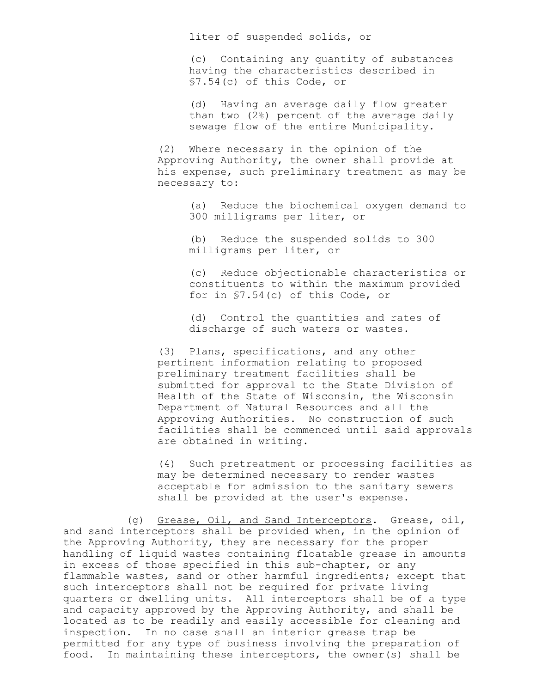liter of suspended solids, or

(c) Containing any quantity of substances having the characteristics described in §7.54(c) of this Code, or

(d) Having an average daily flow greater than two (2%) percent of the average daily sewage flow of the entire Municipality.

(2) Where necessary in the opinion of the Approving Authority, the owner shall provide at his expense, such preliminary treatment as may be necessary to:

> (a) Reduce the biochemical oxygen demand to 300 milligrams per liter, or

(b) Reduce the suspended solids to 300 milligrams per liter, or

(c) Reduce objectionable characteristics or constituents to within the maximum provided for in §7.54(c) of this Code, or

(d) Control the quantities and rates of discharge of such waters or wastes.

(3) Plans, specifications, and any other pertinent information relating to proposed preliminary treatment facilities shall be submitted for approval to the State Division of Health of the State of Wisconsin, the Wisconsin Department of Natural Resources and all the Approving Authorities. No construction of such facilities shall be commenced until said approvals are obtained in writing.

(4) Such pretreatment or processing facilities as may be determined necessary to render wastes acceptable for admission to the sanitary sewers shall be provided at the user's expense.

(g) Grease, Oil, and Sand Interceptors. Grease, oil, and sand interceptors shall be provided when, in the opinion of the Approving Authority, they are necessary for the proper handling of liquid wastes containing floatable grease in amounts in excess of those specified in this sub-chapter, or any flammable wastes, sand or other harmful ingredients; except that such interceptors shall not be required for private living quarters or dwelling units. All interceptors shall be of a type and capacity approved by the Approving Authority, and shall be located as to be readily and easily accessible for cleaning and inspection. In no case shall an interior grease trap be permitted for any type of business involving the preparation of food. In maintaining these interceptors, the owner(s) shall be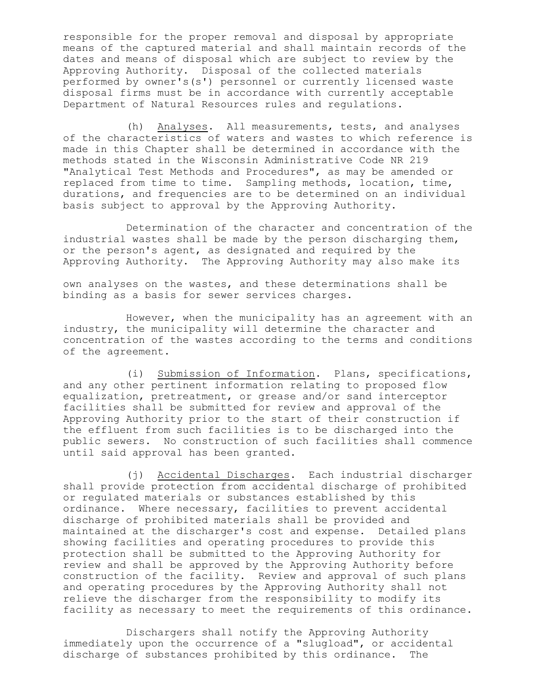responsible for the proper removal and disposal by appropriate means of the captured material and shall maintain records of the dates and means of disposal which are subject to review by the Approving Authority. Disposal of the collected materials performed by owner's(s') personnel or currently licensed waste disposal firms must be in accordance with currently acceptable Department of Natural Resources rules and regulations.

(h) Analyses. All measurements, tests, and analyses of the characteristics of waters and wastes to which reference is made in this Chapter shall be determined in accordance with the methods stated in the Wisconsin Administrative Code NR 219 "Analytical Test Methods and Procedures", as may be amended or replaced from time to time. Sampling methods, location, time, durations, and frequencies are to be determined on an individual basis subject to approval by the Approving Authority.

Determination of the character and concentration of the industrial wastes shall be made by the person discharging them, or the person's agent, as designated and required by the Approving Authority. The Approving Authority may also make its

own analyses on the wastes, and these determinations shall be binding as a basis for sewer services charges.

However, when the municipality has an agreement with an industry, the municipality will determine the character and concentration of the wastes according to the terms and conditions of the agreement.

(i) Submission of Information. Plans, specifications, and any other pertinent information relating to proposed flow equalization, pretreatment, or grease and/or sand interceptor facilities shall be submitted for review and approval of the Approving Authority prior to the start of their construction if the effluent from such facilities is to be discharged into the public sewers. No construction of such facilities shall commence until said approval has been granted.

(j) Accidental Discharges. Each industrial discharger shall provide protection from accidental discharge of prohibited or regulated materials or substances established by this ordinance. Where necessary, facilities to prevent accidental discharge of prohibited materials shall be provided and maintained at the discharger's cost and expense. Detailed plans showing facilities and operating procedures to provide this protection shall be submitted to the Approving Authority for review and shall be approved by the Approving Authority before construction of the facility. Review and approval of such plans and operating procedures by the Approving Authority shall not relieve the discharger from the responsibility to modify its facility as necessary to meet the requirements of this ordinance.

Dischargers shall notify the Approving Authority immediately upon the occurrence of a "slugload", or accidental discharge of substances prohibited by this ordinance. The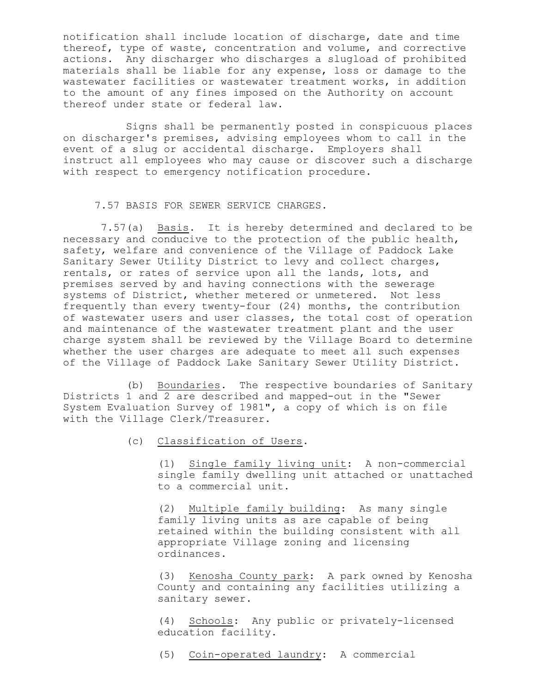notification shall include location of discharge, date and time thereof, type of waste, concentration and volume, and corrective actions. Any discharger who discharges a slugload of prohibited materials shall be liable for any expense, loss or damage to the wastewater facilities or wastewater treatment works, in addition to the amount of any fines imposed on the Authority on account thereof under state or federal law.

Signs shall be permanently posted in conspicuous places on discharger's premises, advising employees whom to call in the event of a slug or accidental discharge. Employers shall instruct all employees who may cause or discover such a discharge with respect to emergency notification procedure.

7.57 BASIS FOR SEWER SERVICE CHARGES.

 7.57(a) Basis. It is hereby determined and declared to be necessary and conducive to the protection of the public health, safety, welfare and convenience of the Village of Paddock Lake Sanitary Sewer Utility District to levy and collect charges, rentals, or rates of service upon all the lands, lots, and premises served by and having connections with the sewerage systems of District, whether metered or unmetered. Not less frequently than every twenty-four (24) months, the contribution of wastewater users and user classes, the total cost of operation and maintenance of the wastewater treatment plant and the user charge system shall be reviewed by the Village Board to determine whether the user charges are adequate to meet all such expenses of the Village of Paddock Lake Sanitary Sewer Utility District.

(b) Boundaries. The respective boundaries of Sanitary Districts 1 and 2 are described and mapped-out in the "Sewer System Evaluation Survey of 1981", a copy of which is on file with the Village Clerk/Treasurer.

(c) Classification of Users.

(1) Single family living unit: A non-commercial single family dwelling unit attached or unattached to a commercial unit.

(2) Multiple family building: As many single family living units as are capable of being retained within the building consistent with all appropriate Village zoning and licensing ordinances.

(3) Kenosha County park: A park owned by Kenosha County and containing any facilities utilizing a sanitary sewer.

(4) Schools: Any public or privately-licensed education facility.

(5) Coin-operated laundry: A commercial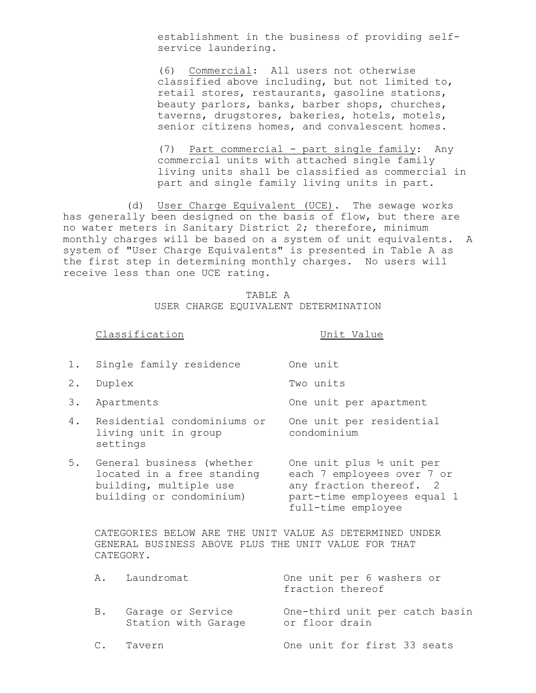establishment in the business of providing selfservice laundering.

(6) Commercial: All users not otherwise classified above including, but not limited to, retail stores, restaurants, gasoline stations, beauty parlors, banks, barber shops, churches, taverns, drugstores, bakeries, hotels, motels, senior citizens homes, and convalescent homes.

(7) Part commercial - part single family: Any commercial units with attached single family living units shall be classified as commercial in part and single family living units in part.

(d) User Charge Equivalent (UCE). The sewage works has generally been designed on the basis of flow, but there are no water meters in Sanitary District 2; therefore, minimum monthly charges will be based on a system of unit equivalents. A system of "User Charge Equivalents" is presented in Table A as the first step in determining monthly charges. No users will receive less than one UCE rating.

> TABLE A USER CHARGE EQUIVALENT DETERMINATION

Classification Unit Value

full-time employee

|    | 1. Single family residence                                                        | One unit                                                                            |
|----|-----------------------------------------------------------------------------------|-------------------------------------------------------------------------------------|
| 2. | Duplex                                                                            | Two units                                                                           |
| 3. | Apartments                                                                        | One unit per apartment                                                              |
| 4. | Residential condominiums or<br>living unit in group<br>settings                   | One unit per residential<br>condominium                                             |
| 5. | General business (whether<br>located in a free standing<br>building, multiple use | One unit plus 1/2 unit per<br>each 7 employees over 7 or<br>any fraction thereof. 2 |

CATEGORIES BELOW ARE THE UNIT VALUE AS DETERMINED UNDER GENERAL BUSINESS ABOVE PLUS THE UNIT VALUE FOR THAT CATEGORY.

building or condominium) part-time employees equal 1

|    | A. Laundromat                            | One unit per 6 washers or<br>fraction thereof    |
|----|------------------------------------------|--------------------------------------------------|
| B. | Garage or Service<br>Station with Garage | One-third unit per catch basin<br>or floor drain |
|    | C. Tavern                                | One unit for first 33 seats                      |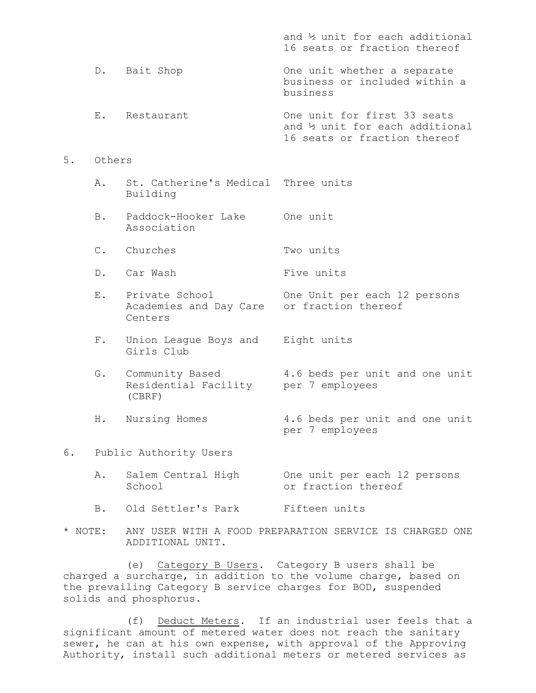|    |                |                                                     | and 1/2 unit for each additional<br>16 seats or fraction thereof                                |
|----|----------------|-----------------------------------------------------|-------------------------------------------------------------------------------------------------|
|    |                | D. Bait Shop                                        | One unit whether a separate<br>business or included within a<br>business                        |
|    |                | E. Restaurant                                       | One unit for first 33 seats<br>and 1/2 unit for each additional<br>16 seats or fraction thereof |
| 5. | Others         |                                                     |                                                                                                 |
|    | Α.             | St. Catherine's Medical<br>Building                 | Three units                                                                                     |
|    | B.             | Paddock-Hooker Lake<br>Association                  | One unit                                                                                        |
|    | $\mathsf{C}$ . | Churches                                            | Two units                                                                                       |
|    | $D_{\bullet}$  | Car Wash                                            | Five units                                                                                      |
|    | $E$ .          | Private School<br>Academies and Day Care<br>Centers | One Unit per each 12 persons<br>or fraction thereof                                             |
|    | $F$ .          | Union League Boys and<br>Girls Club                 | Eight units                                                                                     |
|    | G.             | Community Based<br>Residential Facility<br>(CBRF)   | 4.6 beds per unit and one unit<br>per 7 employees                                               |
|    | Η.             | Nursing Homes                                       | 4.6 beds per unit and one unit<br>per 7 employees                                               |
| 6. |                | Public Authority Users                              |                                                                                                 |
|    | Α.             | Salem Central High<br>School                        | One unit per each 12 persons<br>or fraction thereof                                             |

- B. Old Settler's Park Fifteen units
- \* NOTE: ANY USER WITH A FOOD PREPARATION SERVICE IS CHARGED ONE ADDITIONAL UNIT.

(e) Category B Users. Category B users shall be charged a surcharge, in addition to the volume charge, based on the prevailing Category B service charges for BOD, suspended solids and phosphorus.

(f) Deduct Meters. If an industrial user feels that a significant amount of metered water does not reach the sanitary sewer, he can at his own expense, with approval of the Approving Authority, install such additional meters or metered services as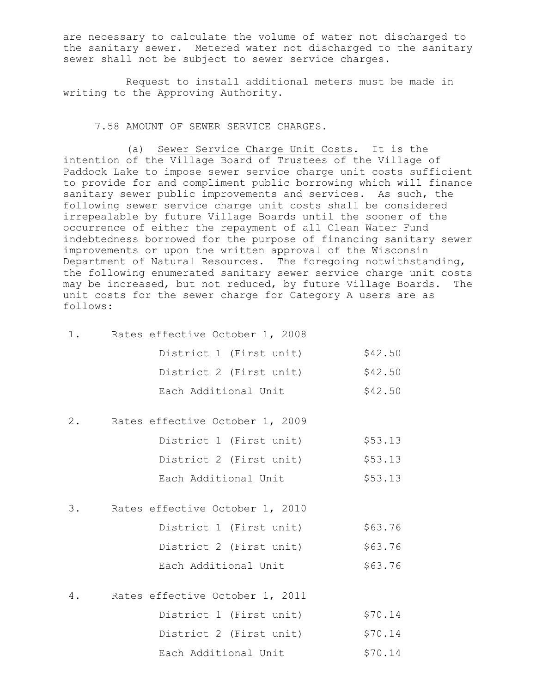are necessary to calculate the volume of water not discharged to the sanitary sewer. Metered water not discharged to the sanitary sewer shall not be subject to sewer service charges.

Request to install additional meters must be made in writing to the Approving Authority.

7.58 AMOUNT OF SEWER SERVICE CHARGES.

(a) Sewer Service Charge Unit Costs. It is the intention of the Village Board of Trustees of the Village of Paddock Lake to impose sewer service charge unit costs sufficient to provide for and compliment public borrowing which will finance sanitary sewer public improvements and services. As such, the following sewer service charge unit costs shall be considered irrepealable by future Village Boards until the sooner of the occurrence of either the repayment of all Clean Water Fund indebtedness borrowed for the purpose of financing sanitary sewer improvements or upon the written approval of the Wisconsin Department of Natural Resources. The foregoing notwithstanding, the following enumerated sanitary sewer service charge unit costs may be increased, but not reduced, by future Village Boards. The unit costs for the sewer charge for Category A users are as follows:

|       | 1. Rates effective October 1, 2008 |         |
|-------|------------------------------------|---------|
|       | District 1 (First unit)            | \$42.50 |
|       | District 2 (First unit)            | \$42.50 |
|       | Each Additional Unit               | \$42.50 |
| $2$ . | Rates effective October 1, 2009    |         |
|       | District 1 (First unit)            | \$53.13 |
|       | District 2 (First unit)            | \$53.13 |
|       | Each Additional Unit               | \$53.13 |
| 3.    | Rates effective October 1, 2010    |         |
|       | District 1 (First unit)            | \$63.76 |
|       | District 2 (First unit)            | \$63.76 |
|       | Each Additional Unit               | \$63.76 |
| 4.    | Rates effective October 1, 2011    |         |
|       | District 1 (First unit)            | \$70.14 |

District 2 (First unit) \$70.14 Each Additional Unit \$70.14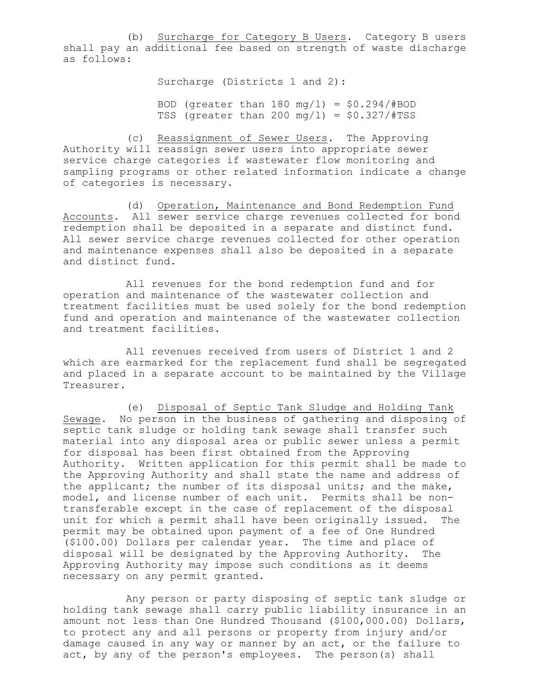(b) Surcharge for Category B Users. Category B users shall pay an additional fee based on strength of waste discharge as follows:

Surcharge (Districts 1 and 2):

BOD (greater than  $180 \text{ mg/l}$ ) =  $$0.294/#BOD$ TSS (greater than 200 mg/1) =  $$0.327/$ #TSS

(c) Reassignment of Sewer Users. The Approving Authority will reassign sewer users into appropriate sewer service charge categories if wastewater flow monitoring and sampling programs or other related information indicate a change of categories is necessary.

(d) Operation, Maintenance and Bond Redemption Fund Accounts. All sewer service charge revenues collected for bond redemption shall be deposited in a separate and distinct fund. All sewer service charge revenues collected for other operation and maintenance expenses shall also be deposited in a separate and distinct fund.

All revenues for the bond redemption fund and for operation and maintenance of the wastewater collection and treatment facilities must be used solely for the bond redemption fund and operation and maintenance of the wastewater collection and treatment facilities.

All revenues received from users of District 1 and 2 which are earmarked for the replacement fund shall be segregated and placed in a separate account to be maintained by the Village Treasurer.

(e) Disposal of Septic Tank Sludge and Holding Tank Sewage. No person in the business of gathering and disposing of septic tank sludge or holding tank sewage shall transfer such material into any disposal area or public sewer unless a permit for disposal has been first obtained from the Approving Authority. Written application for this permit shall be made to the Approving Authority and shall state the name and address of the applicant; the number of its disposal units; and the make, model, and license number of each unit. Permits shall be nontransferable except in the case of replacement of the disposal unit for which a permit shall have been originally issued. The permit may be obtained upon payment of a fee of One Hundred (\$100.00) Dollars per calendar year. The time and place of disposal will be designated by the Approving Authority. The Approving Authority may impose such conditions as it deems necessary on any permit granted.

Any person or party disposing of septic tank sludge or holding tank sewage shall carry public liability insurance in an amount not less than One Hundred Thousand (\$100,000.00) Dollars, to protect any and all persons or property from injury and/or damage caused in any way or manner by an act, or the failure to act, by any of the person's employees. The person(s) shall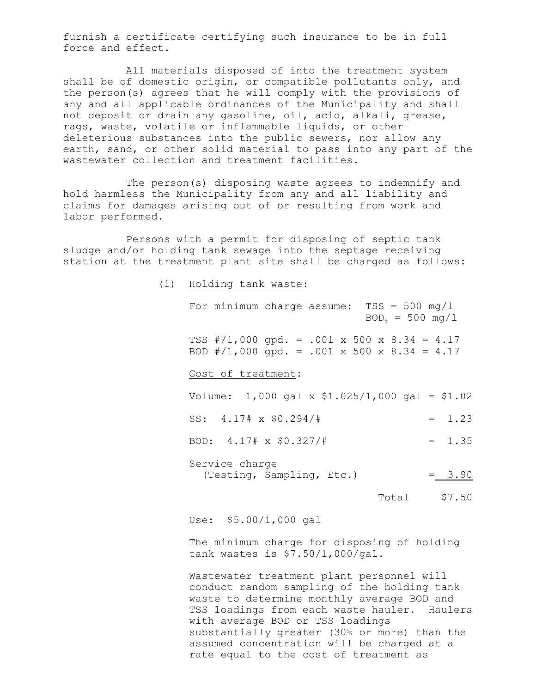furnish a certificate certifying such insurance to be in full force and effect.

All materials disposed of into the treatment system shall be of domestic origin, or compatible pollutants only, and the person(s) agrees that he will comply with the provisions of any and all applicable ordinances of the Municipality and shall not deposit or drain any gasoline, oil, acid, alkali, grease, rags, waste, volatile or inflammable liquids, or other deleterious substances into the public sewers, nor allow any earth, sand, or other solid material to pass into any part of the wastewater collection and treatment facilities.

The person(s) disposing waste agrees to indemnify and hold harmless the Municipality from any and all liability and claims for damages arising out of or resulting from work and labor performed.

Persons with a permit for disposing of septic tank sludge and/or holding tank sewage into the septage receiving station at the treatment plant site shall be charged as follows:

(1) Holding tank waste:

For minimum charge assume:  $TSS = 500 \text{ mg/l}$  $BOD_5 = 500 \text{ mg}/1$ TSS #/1,000 gpd. = .001 x 500 x 8.34 = 4.17 BOD #/1,000 gpd. = .001 x 500 x 8.34 = 4.17 Cost of treatment: Volume: 1,000 gal x \$1.025/1,000 gal = \$1.02 SS:  $4.17# \times $0.294/#$  = 1.23 BOD:  $4.17 \# \times $0.327 / \#$  = 1.35 Service charge (Testing, Sampling, Etc.) = 3.90 Total \$7.50

Use: \$5.00/1,000 gal

The minimum charge for disposing of holding tank wastes is \$7.50/1,000/gal.

Wastewater treatment plant personnel will conduct random sampling of the holding tank waste to determine monthly average BOD and TSS loadings from each waste hauler. Haulers with average BOD or TSS loadings substantially greater (30% or more) than the assumed concentration will be charged at a rate equal to the cost of treatment as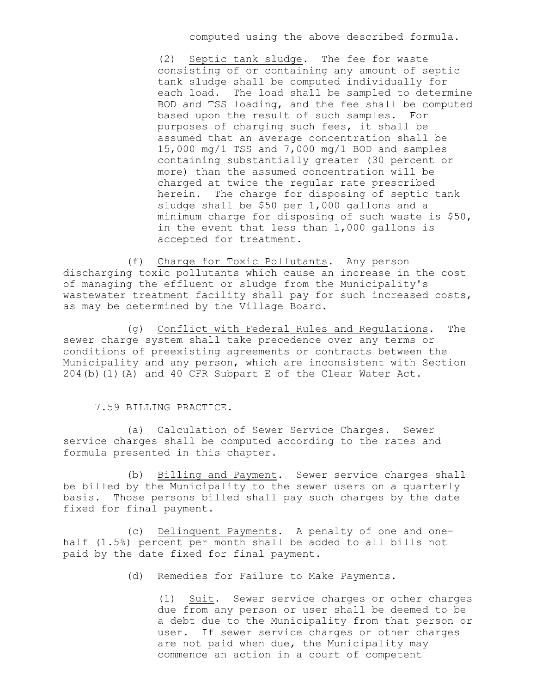computed using the above described formula.

(2) Septic tank sludge. The fee for waste consisting of or containing any amount of septic tank sludge shall be computed individually for each load. The load shall be sampled to determine BOD and TSS loading, and the fee shall be computed based upon the result of such samples. For purposes of charging such fees, it shall be assumed that an average concentration shall be 15,000 mg/1 TSS and 7,000 mg/1 BOD and samples containing substantially greater (30 percent or more) than the assumed concentration will be charged at twice the regular rate prescribed herein. The charge for disposing of septic tank sludge shall be \$50 per 1,000 gallons and a minimum charge for disposing of such waste is \$50, in the event that less than 1,000 gallons is accepted for treatment.

(f) Charge for Toxic Pollutants. Any person discharging toxic pollutants which cause an increase in the cost of managing the effluent or sludge from the Municipality's wastewater treatment facility shall pay for such increased costs, as may be determined by the Village Board.

(g) Conflict with Federal Rules and Regulations. The sewer charge system shall take precedence over any terms or conditions of preexisting agreements or contracts between the Municipality and any person, which are inconsistent with Section 204(b)(1)(A) and 40 CFR Subpart E of the Clear Water Act.

#### 7.59 BILLING PRACTICE.

(a) Calculation of Sewer Service Charges. Sewer service charges shall be computed according to the rates and formula presented in this chapter.

(b) Billing and Payment. Sewer service charges shall be billed by the Municipality to the sewer users on a quarterly basis. Those persons billed shall pay such charges by the date fixed for final payment.

(c) Delinquent Payments. A penalty of one and onehalf (1.5%) percent per month shall be added to all bills not paid by the date fixed for final payment.

# (d) Remedies for Failure to Make Payments.

(1) Suit. Sewer service charges or other charges due from any person or user shall be deemed to be a debt due to the Municipality from that person or user. If sewer service charges or other charges are not paid when due, the Municipality may commence an action in a court of competent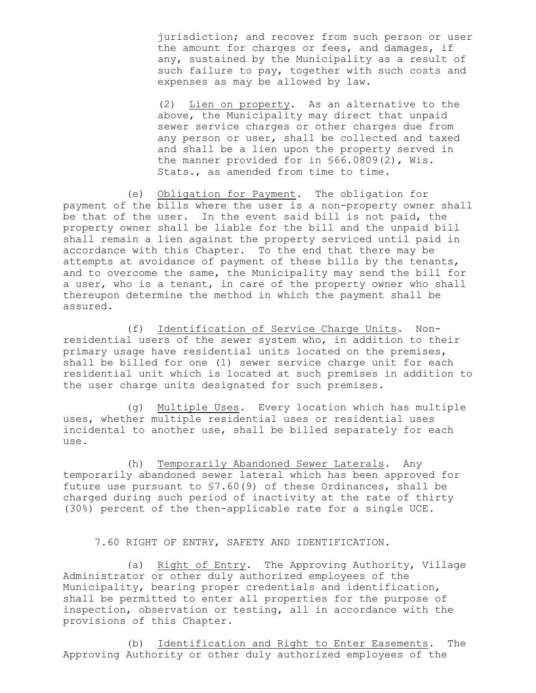jurisdiction; and recover from such person or user the amount for charges or fees, and damages, if any, sustained by the Municipality as a result of such failure to pay, together with such costs and expenses as may be allowed by law.

(2) Lien on property. As an alternative to the above, the Municipality may direct that unpaid sewer service charges or other charges due from any person or user, shall be collected and taxed and shall be a lien upon the property served in the manner provided for in §66.0809(2), Wis. Stats., as amended from time to time.

(e) Obligation for Payment. The obligation for payment of the bills where the user is a non-property owner shall be that of the user. In the event said bill is not paid, the property owner shall be liable for the bill and the unpaid bill shall remain a lien against the property serviced until paid in accordance with this Chapter. To the end that there may be attempts at avoidance of payment of these bills by the tenants, and to overcome the same, the Municipality may send the bill for a user, who is a tenant, in care of the property owner who shall thereupon determine the method in which the payment shall be assured.

(f) Identification of Service Charge Units. Nonresidential users of the sewer system who, in addition to their primary usage have residential units located on the premises, shall be billed for one (1) sewer service charge unit for each residential unit which is located at such premises in addition to the user charge units designated for such premises.

(g) Multiple Uses. Every location which has multiple uses, whether multiple residential uses or residential uses incidental to another use, shall be billed separately for each use.

(h) Temporarily Abandoned Sewer Laterals. Any temporarily abandoned sewer lateral which has been approved for future use pursuant to §7.60(9) of these Ordinances, shall be charged during such period of inactivity at the rate of thirty (30%) percent of the then-applicable rate for a single UCE.

7.60 RIGHT OF ENTRY, SAFETY AND IDENTIFICATION.

(a) Right of Entry. The Approving Authority, Village Administrator or other duly authorized employees of the Municipality, bearing proper credentials and identification, shall be permitted to enter all properties for the purpose of inspection, observation or testing, all in accordance with the provisions of this Chapter.

(b) Identification and Right to Enter Easements. The Approving Authority or other duly authorized employees of the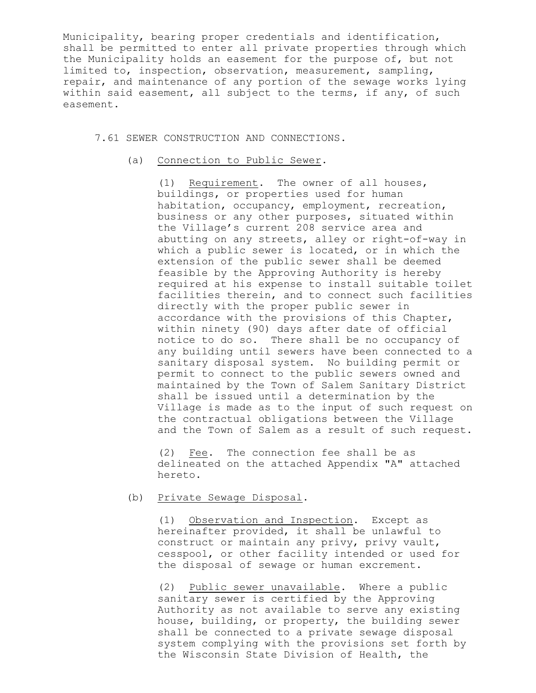Municipality, bearing proper credentials and identification, shall be permitted to enter all private properties through which the Municipality holds an easement for the purpose of, but not limited to, inspection, observation, measurement, sampling, repair, and maintenance of any portion of the sewage works lying within said easement, all subject to the terms, if any, of such easement.

7.61 SEWER CONSTRUCTION AND CONNECTIONS.

(a) Connection to Public Sewer.

(1) Requirement. The owner of all houses, buildings, or properties used for human habitation, occupancy, employment, recreation, business or any other purposes, situated within the Village's current 208 service area and abutting on any streets, alley or right-of-way in which a public sewer is located, or in which the extension of the public sewer shall be deemed feasible by the Approving Authority is hereby required at his expense to install suitable toilet facilities therein, and to connect such facilities directly with the proper public sewer in accordance with the provisions of this Chapter, within ninety (90) days after date of official notice to do so. There shall be no occupancy of any building until sewers have been connected to a sanitary disposal system. No building permit or permit to connect to the public sewers owned and maintained by the Town of Salem Sanitary District shall be issued until a determination by the Village is made as to the input of such request on the contractual obligations between the Village and the Town of Salem as a result of such request.

(2) Fee. The connection fee shall be as delineated on the attached Appendix "A" attached hereto.

(b) Private Sewage Disposal.

(1) Observation and Inspection. Except as hereinafter provided, it shall be unlawful to construct or maintain any privy, privy vault, cesspool, or other facility intended or used for the disposal of sewage or human excrement.

(2) Public sewer unavailable. Where a public sanitary sewer is certified by the Approving Authority as not available to serve any existing house, building, or property, the building sewer shall be connected to a private sewage disposal system complying with the provisions set forth by the Wisconsin State Division of Health, the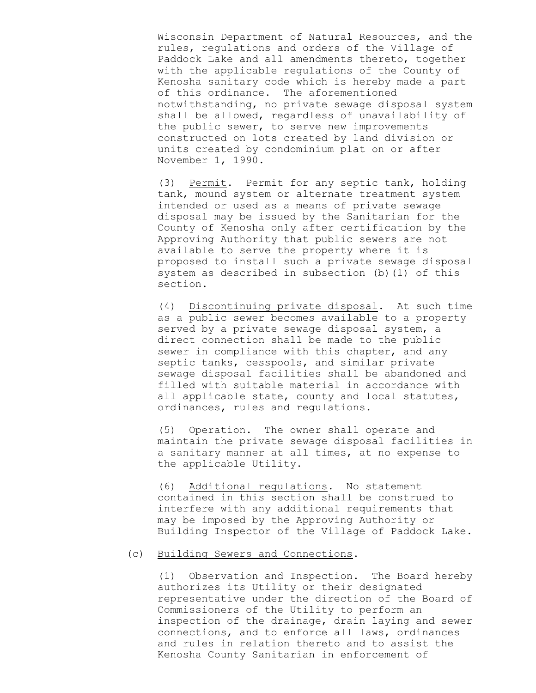Wisconsin Department of Natural Resources, and the rules, regulations and orders of the Village of Paddock Lake and all amendments thereto, together with the applicable regulations of the County of Kenosha sanitary code which is hereby made a part of this ordinance. The aforementioned notwithstanding, no private sewage disposal system shall be allowed, regardless of unavailability of the public sewer, to serve new improvements constructed on lots created by land division or units created by condominium plat on or after November 1, 1990.

(3) Permit. Permit for any septic tank, holding tank, mound system or alternate treatment system intended or used as a means of private sewage disposal may be issued by the Sanitarian for the County of Kenosha only after certification by the Approving Authority that public sewers are not available to serve the property where it is proposed to install such a private sewage disposal system as described in subsection (b)(1) of this section.

(4) Discontinuing private disposal. At such time as a public sewer becomes available to a property served by a private sewage disposal system, a direct connection shall be made to the public sewer in compliance with this chapter, and any septic tanks, cesspools, and similar private sewage disposal facilities shall be abandoned and filled with suitable material in accordance with all applicable state, county and local statutes, ordinances, rules and regulations.

(5) Operation. The owner shall operate and maintain the private sewage disposal facilities in a sanitary manner at all times, at no expense to the applicable Utility.

(6) Additional regulations. No statement contained in this section shall be construed to interfere with any additional requirements that may be imposed by the Approving Authority or Building Inspector of the Village of Paddock Lake.

# (c) Building Sewers and Connections.

(1) Observation and Inspection. The Board hereby authorizes its Utility or their designated representative under the direction of the Board of Commissioners of the Utility to perform an inspection of the drainage, drain laying and sewer connections, and to enforce all laws, ordinances and rules in relation thereto and to assist the Kenosha County Sanitarian in enforcement of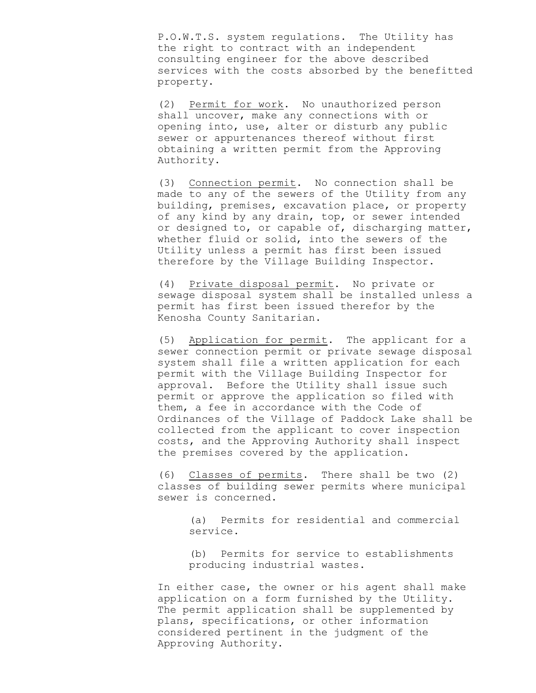P.O.W.T.S. system regulations. The Utility has the right to contract with an independent consulting engineer for the above described services with the costs absorbed by the benefitted property.

(2) Permit for work. No unauthorized person shall uncover, make any connections with or opening into, use, alter or disturb any public sewer or appurtenances thereof without first obtaining a written permit from the Approving Authority.

(3) Connection permit. No connection shall be made to any of the sewers of the Utility from any building, premises, excavation place, or property of any kind by any drain, top, or sewer intended or designed to, or capable of, discharging matter, whether fluid or solid, into the sewers of the Utility unless a permit has first been issued therefore by the Village Building Inspector.

(4) Private disposal permit. No private or sewage disposal system shall be installed unless a permit has first been issued therefor by the Kenosha County Sanitarian.

(5) Application for permit. The applicant for a sewer connection permit or private sewage disposal system shall file a written application for each permit with the Village Building Inspector for approval. Before the Utility shall issue such permit or approve the application so filed with them, a fee in accordance with the Code of Ordinances of the Village of Paddock Lake shall be collected from the applicant to cover inspection costs, and the Approving Authority shall inspect the premises covered by the application.

(6) Classes of permits. There shall be two (2) classes of building sewer permits where municipal sewer is concerned.

> (a) Permits for residential and commercial service.

(b) Permits for service to establishments producing industrial wastes.

In either case, the owner or his agent shall make application on a form furnished by the Utility. The permit application shall be supplemented by plans, specifications, or other information considered pertinent in the judgment of the Approving Authority.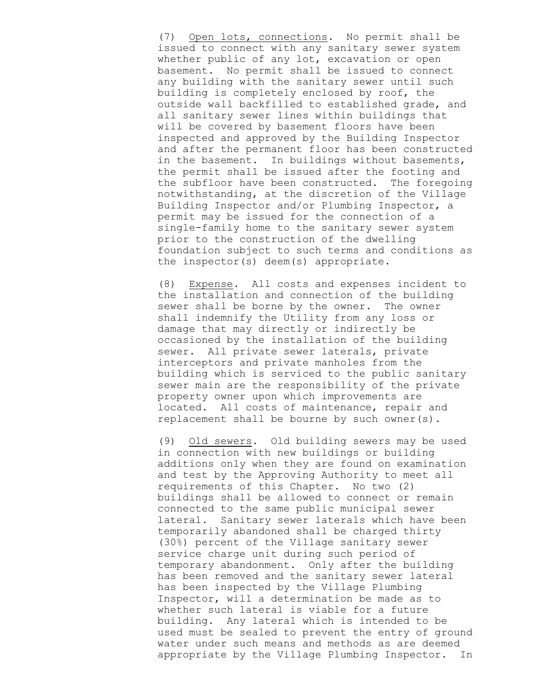(7) Open lots, connections. No permit shall be issued to connect with any sanitary sewer system whether public of any lot, excavation or open basement. No permit shall be issued to connect any building with the sanitary sewer until such building is completely enclosed by roof, the outside wall backfilled to established grade, and all sanitary sewer lines within buildings that will be covered by basement floors have been inspected and approved by the Building Inspector and after the permanent floor has been constructed in the basement. In buildings without basements, the permit shall be issued after the footing and the subfloor have been constructed. The foregoing notwithstanding, at the discretion of the Village Building Inspector and/or Plumbing Inspector, a permit may be issued for the connection of a single-family home to the sanitary sewer system prior to the construction of the dwelling foundation subject to such terms and conditions as the inspector(s) deem(s) appropriate.

(8) Expense. All costs and expenses incident to the installation and connection of the building sewer shall be borne by the owner. The owner shall indemnify the Utility from any loss or damage that may directly or indirectly be occasioned by the installation of the building sewer. All private sewer laterals, private interceptors and private manholes from the building which is serviced to the public sanitary sewer main are the responsibility of the private property owner upon which improvements are located. All costs of maintenance, repair and replacement shall be bourne by such owner(s).

(9) Old sewers. Old building sewers may be used in connection with new buildings or building additions only when they are found on examination and test by the Approving Authority to meet all requirements of this Chapter. No two (2) buildings shall be allowed to connect or remain connected to the same public municipal sewer lateral. Sanitary sewer laterals which have been temporarily abandoned shall be charged thirty (30%) percent of the Village sanitary sewer service charge unit during such period of temporary abandonment. Only after the building has been removed and the sanitary sewer lateral has been inspected by the Village Plumbing Inspector, will a determination be made as to whether such lateral is viable for a future building. Any lateral which is intended to be used must be sealed to prevent the entry of ground water under such means and methods as are deemed appropriate by the Village Plumbing Inspector. In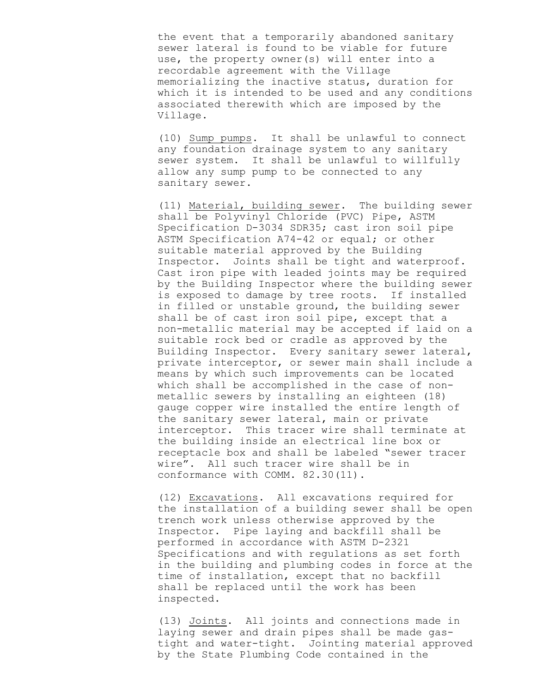the event that a temporarily abandoned sanitary sewer lateral is found to be viable for future use, the property owner(s) will enter into a recordable agreement with the Village memorializing the inactive status, duration for which it is intended to be used and any conditions associated therewith which are imposed by the Village.

(10) Sump pumps. It shall be unlawful to connect any foundation drainage system to any sanitary sewer system. It shall be unlawful to willfully allow any sump pump to be connected to any sanitary sewer.

(11) Material, building sewer. The building sewer shall be Polyvinyl Chloride (PVC) Pipe, ASTM Specification D-3034 SDR35; cast iron soil pipe ASTM Specification A74-42 or equal; or other suitable material approved by the Building Inspector. Joints shall be tight and waterproof. Cast iron pipe with leaded joints may be required by the Building Inspector where the building sewer is exposed to damage by tree roots. If installed in filled or unstable ground, the building sewer shall be of cast iron soil pipe, except that a non-metallic material may be accepted if laid on a suitable rock bed or cradle as approved by the Building Inspector. Every sanitary sewer lateral, private interceptor, or sewer main shall include a means by which such improvements can be located which shall be accomplished in the case of nonmetallic sewers by installing an eighteen (18) gauge copper wire installed the entire length of the sanitary sewer lateral, main or private interceptor. This tracer wire shall terminate at the building inside an electrical line box or receptacle box and shall be labeled "sewer tracer wire". All such tracer wire shall be in conformance with COMM. 82.30(11).

(12) Excavations. All excavations required for the installation of a building sewer shall be open trench work unless otherwise approved by the Inspector. Pipe laying and backfill shall be performed in accordance with ASTM D-2321 Specifications and with regulations as set forth in the building and plumbing codes in force at the time of installation, except that no backfill shall be replaced until the work has been inspected.

(13) Joints. All joints and connections made in laying sewer and drain pipes shall be made gastight and water-tight. Jointing material approved by the State Plumbing Code contained in the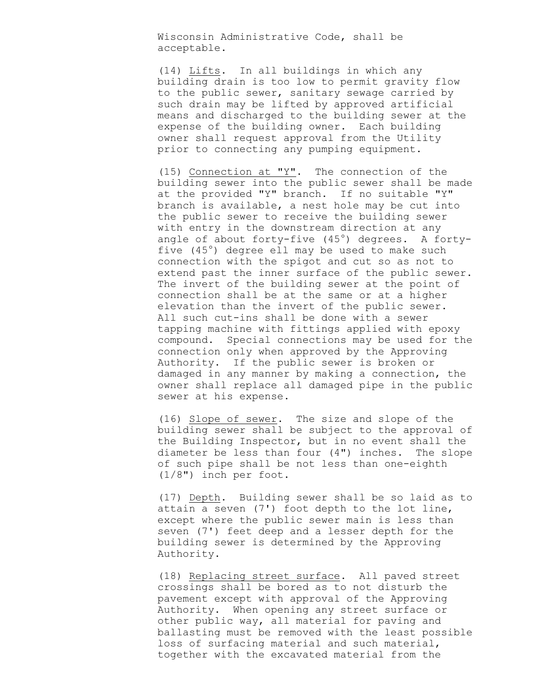Wisconsin Administrative Code, shall be acceptable.

(14) Lifts. In all buildings in which any building drain is too low to permit gravity flow to the public sewer, sanitary sewage carried by such drain may be lifted by approved artificial means and discharged to the building sewer at the expense of the building owner. Each building owner shall request approval from the Utility prior to connecting any pumping equipment.

(15) Connection at "Y". The connection of the building sewer into the public sewer shall be made at the provided "Y" branch. If no suitable "Y" branch is available, a nest hole may be cut into the public sewer to receive the building sewer with entry in the downstream direction at any angle of about forty-five  $(45^{\circ})$  degrees. A fortyfive  $(45^\circ)$  degree ell may be used to make such connection with the spigot and cut so as not to extend past the inner surface of the public sewer. The invert of the building sewer at the point of connection shall be at the same or at a higher elevation than the invert of the public sewer. All such cut-ins shall be done with a sewer tapping machine with fittings applied with epoxy compound. Special connections may be used for the connection only when approved by the Approving Authority. If the public sewer is broken or damaged in any manner by making a connection, the owner shall replace all damaged pipe in the public sewer at his expense.

(16) Slope of sewer. The size and slope of the building sewer shall be subject to the approval of the Building Inspector, but in no event shall the diameter be less than four (4") inches. The slope of such pipe shall be not less than one-eighth (1/8") inch per foot.

(17) Depth. Building sewer shall be so laid as to attain a seven (7') foot depth to the lot line, except where the public sewer main is less than seven (7') feet deep and a lesser depth for the building sewer is determined by the Approving Authority.

(18) Replacing street surface. All paved street crossings shall be bored as to not disturb the pavement except with approval of the Approving Authority. When opening any street surface or other public way, all material for paving and ballasting must be removed with the least possible loss of surfacing material and such material, together with the excavated material from the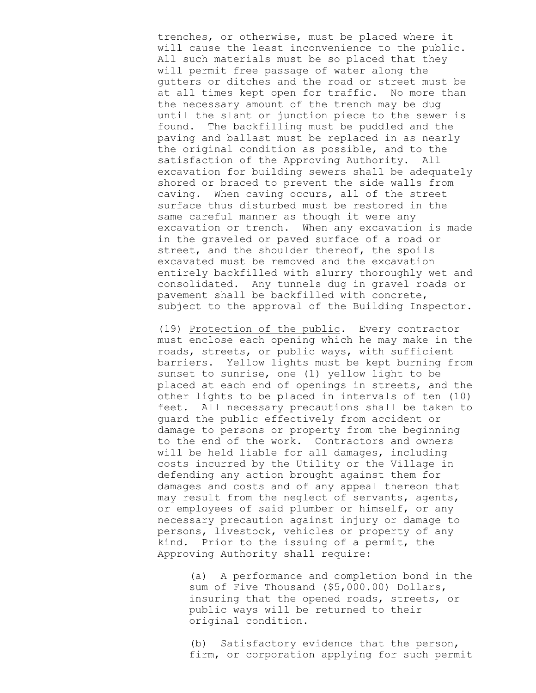trenches, or otherwise, must be placed where it will cause the least inconvenience to the public. All such materials must be so placed that they will permit free passage of water along the gutters or ditches and the road or street must be at all times kept open for traffic. No more than the necessary amount of the trench may be dug until the slant or junction piece to the sewer is found. The backfilling must be puddled and the paving and ballast must be replaced in as nearly the original condition as possible, and to the satisfaction of the Approving Authority. All excavation for building sewers shall be adequately shored or braced to prevent the side walls from caving. When caving occurs, all of the street surface thus disturbed must be restored in the same careful manner as though it were any excavation or trench. When any excavation is made in the graveled or paved surface of a road or street, and the shoulder thereof, the spoils excavated must be removed and the excavation entirely backfilled with slurry thoroughly wet and consolidated. Any tunnels dug in gravel roads or pavement shall be backfilled with concrete, subject to the approval of the Building Inspector.

(19) Protection of the public. Every contractor must enclose each opening which he may make in the roads, streets, or public ways, with sufficient barriers. Yellow lights must be kept burning from sunset to sunrise, one (1) yellow light to be placed at each end of openings in streets, and the other lights to be placed in intervals of ten (10) feet. All necessary precautions shall be taken to guard the public effectively from accident or damage to persons or property from the beginning to the end of the work. Contractors and owners will be held liable for all damages, including costs incurred by the Utility or the Village in defending any action brought against them for damages and costs and of any appeal thereon that may result from the neglect of servants, agents, or employees of said plumber or himself, or any necessary precaution against injury or damage to persons, livestock, vehicles or property of any kind. Prior to the issuing of a permit, the Approving Authority shall require:

(a) A performance and completion bond in the sum of Five Thousand (\$5,000.00) Dollars, insuring that the opened roads, streets, or public ways will be returned to their original condition.

(b) Satisfactory evidence that the person, firm, or corporation applying for such permit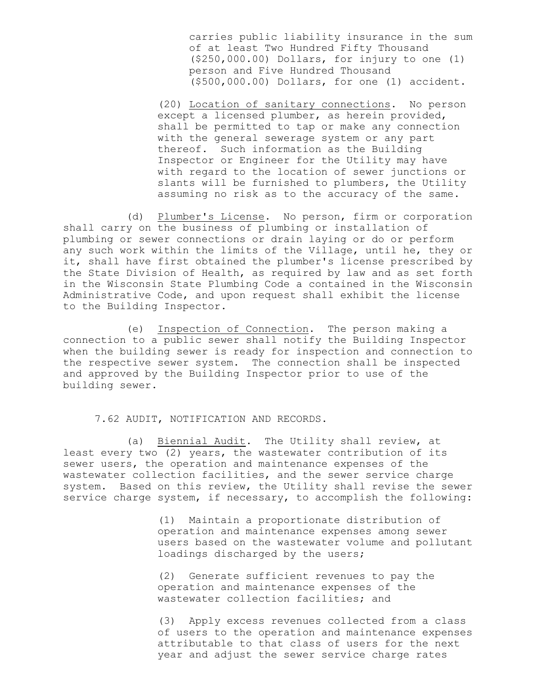carries public liability insurance in the sum of at least Two Hundred Fifty Thousand (\$250,000.00) Dollars, for injury to one (1) person and Five Hundred Thousand (\$500,000.00) Dollars, for one (1) accident.

(20) Location of sanitary connections. No person except a licensed plumber, as herein provided, shall be permitted to tap or make any connection with the general sewerage system or any part thereof. Such information as the Building Inspector or Engineer for the Utility may have with regard to the location of sewer junctions or slants will be furnished to plumbers, the Utility assuming no risk as to the accuracy of the same.

(d) Plumber's License. No person, firm or corporation shall carry on the business of plumbing or installation of plumbing or sewer connections or drain laying or do or perform any such work within the limits of the Village, until he, they or it, shall have first obtained the plumber's license prescribed by the State Division of Health, as required by law and as set forth in the Wisconsin State Plumbing Code a contained in the Wisconsin Administrative Code, and upon request shall exhibit the license to the Building Inspector.

(e) Inspection of Connection. The person making a connection to a public sewer shall notify the Building Inspector when the building sewer is ready for inspection and connection to the respective sewer system. The connection shall be inspected and approved by the Building Inspector prior to use of the building sewer.

7.62 AUDIT, NOTIFICATION AND RECORDS.

(a) Biennial Audit. The Utility shall review, at least every two (2) years, the wastewater contribution of its sewer users, the operation and maintenance expenses of the wastewater collection facilities, and the sewer service charge system. Based on this review, the Utility shall revise the sewer service charge system, if necessary, to accomplish the following:

> (1) Maintain a proportionate distribution of operation and maintenance expenses among sewer users based on the wastewater volume and pollutant loadings discharged by the users;

(2) Generate sufficient revenues to pay the operation and maintenance expenses of the wastewater collection facilities; and

(3) Apply excess revenues collected from a class of users to the operation and maintenance expenses attributable to that class of users for the next year and adjust the sewer service charge rates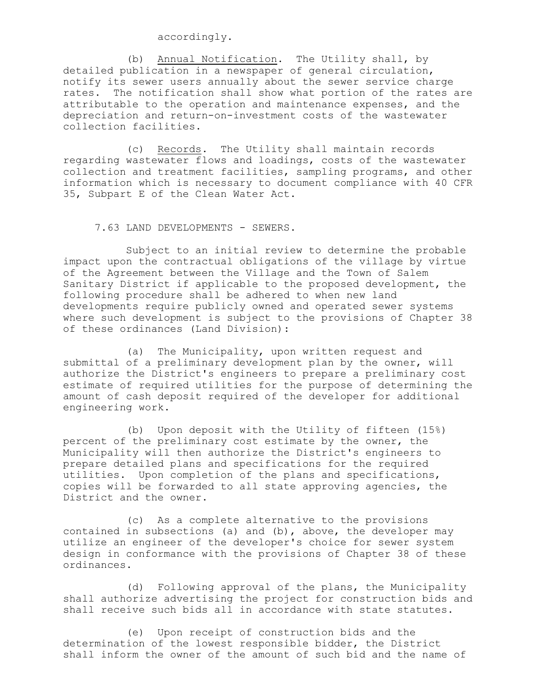#### accordingly.

(b) Annual Notification. The Utility shall, by detailed publication in a newspaper of general circulation, notify its sewer users annually about the sewer service charge rates. The notification shall show what portion of the rates are attributable to the operation and maintenance expenses, and the depreciation and return-on-investment costs of the wastewater collection facilities.

(c) Records. The Utility shall maintain records regarding wastewater flows and loadings, costs of the wastewater collection and treatment facilities, sampling programs, and other information which is necessary to document compliance with 40 CFR 35, Subpart E of the Clean Water Act.

7.63 LAND DEVELOPMENTS - SEWERS.

Subject to an initial review to determine the probable impact upon the contractual obligations of the village by virtue of the Agreement between the Village and the Town of Salem Sanitary District if applicable to the proposed development, the following procedure shall be adhered to when new land developments require publicly owned and operated sewer systems where such development is subject to the provisions of Chapter 38 of these ordinances (Land Division):

(a) The Municipality, upon written request and submittal of a preliminary development plan by the owner, will authorize the District's engineers to prepare a preliminary cost estimate of required utilities for the purpose of determining the amount of cash deposit required of the developer for additional engineering work.

(b) Upon deposit with the Utility of fifteen (15%) percent of the preliminary cost estimate by the owner, the Municipality will then authorize the District's engineers to prepare detailed plans and specifications for the required utilities. Upon completion of the plans and specifications, copies will be forwarded to all state approving agencies, the District and the owner.

(c) As a complete alternative to the provisions contained in subsections (a) and (b), above, the developer may utilize an engineer of the developer's choice for sewer system design in conformance with the provisions of Chapter 38 of these ordinances.

(d) Following approval of the plans, the Municipality shall authorize advertising the project for construction bids and shall receive such bids all in accordance with state statutes.

(e) Upon receipt of construction bids and the determination of the lowest responsible bidder, the District shall inform the owner of the amount of such bid and the name of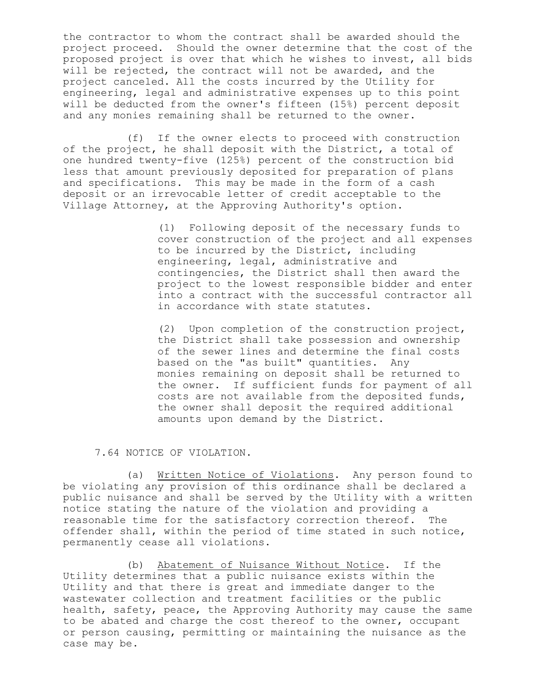the contractor to whom the contract shall be awarded should the project proceed. Should the owner determine that the cost of the proposed project is over that which he wishes to invest, all bids will be rejected, the contract will not be awarded, and the project canceled. All the costs incurred by the Utility for engineering, legal and administrative expenses up to this point will be deducted from the owner's fifteen (15%) percent deposit and any monies remaining shall be returned to the owner.

(f) If the owner elects to proceed with construction of the project, he shall deposit with the District, a total of one hundred twenty-five (125%) percent of the construction bid less that amount previously deposited for preparation of plans and specifications. This may be made in the form of a cash deposit or an irrevocable letter of credit acceptable to the Village Attorney, at the Approving Authority's option.

> (1) Following deposit of the necessary funds to cover construction of the project and all expenses to be incurred by the District, including engineering, legal, administrative and contingencies, the District shall then award the project to the lowest responsible bidder and enter into a contract with the successful contractor all in accordance with state statutes.

> (2) Upon completion of the construction project, the District shall take possession and ownership of the sewer lines and determine the final costs based on the "as built" quantities. Any monies remaining on deposit shall be returned to the owner. If sufficient funds for payment of all costs are not available from the deposited funds, the owner shall deposit the required additional amounts upon demand by the District.

7.64 NOTICE OF VIOLATION.

(a) Written Notice of Violations. Any person found to be violating any provision of this ordinance shall be declared a public nuisance and shall be served by the Utility with a written notice stating the nature of the violation and providing a reasonable time for the satisfactory correction thereof. The offender shall, within the period of time stated in such notice, permanently cease all violations.

(b) Abatement of Nuisance Without Notice. If the Utility determines that a public nuisance exists within the Utility and that there is great and immediate danger to the wastewater collection and treatment facilities or the public health, safety, peace, the Approving Authority may cause the same to be abated and charge the cost thereof to the owner, occupant or person causing, permitting or maintaining the nuisance as the case may be.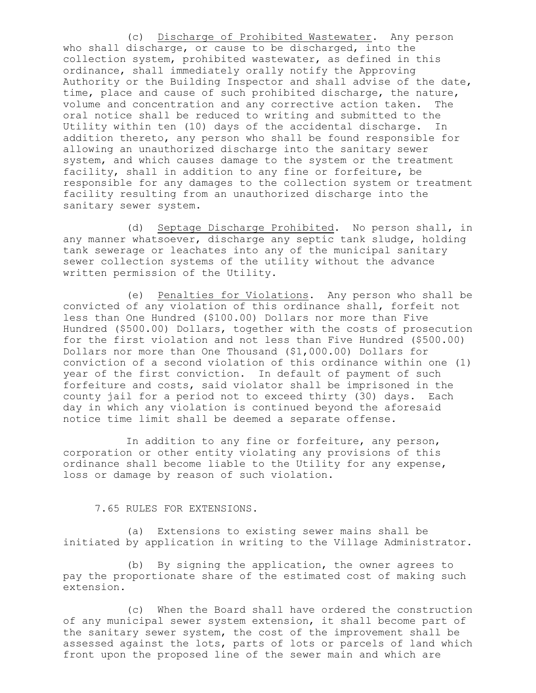(c) Discharge of Prohibited Wastewater. Any person who shall discharge, or cause to be discharged, into the collection system, prohibited wastewater, as defined in this ordinance, shall immediately orally notify the Approving Authority or the Building Inspector and shall advise of the date, time, place and cause of such prohibited discharge, the nature, volume and concentration and any corrective action taken. The oral notice shall be reduced to writing and submitted to the Utility within ten (10) days of the accidental discharge. In addition thereto, any person who shall be found responsible for allowing an unauthorized discharge into the sanitary sewer system, and which causes damage to the system or the treatment facility, shall in addition to any fine or forfeiture, be responsible for any damages to the collection system or treatment facility resulting from an unauthorized discharge into the sanitary sewer system.

(d) Septage Discharge Prohibited. No person shall, in any manner whatsoever, discharge any septic tank sludge, holding tank sewerage or leachates into any of the municipal sanitary sewer collection systems of the utility without the advance written permission of the Utility.

(e) Penalties for Violations. Any person who shall be convicted of any violation of this ordinance shall, forfeit not less than One Hundred (\$100.00) Dollars nor more than Five Hundred (\$500.00) Dollars, together with the costs of prosecution for the first violation and not less than Five Hundred (\$500.00) Dollars nor more than One Thousand (\$1,000.00) Dollars for conviction of a second violation of this ordinance within one (1) year of the first conviction. In default of payment of such forfeiture and costs, said violator shall be imprisoned in the county jail for a period not to exceed thirty (30) days. Each day in which any violation is continued beyond the aforesaid notice time limit shall be deemed a separate offense.

In addition to any fine or forfeiture, any person, corporation or other entity violating any provisions of this ordinance shall become liable to the Utility for any expense, loss or damage by reason of such violation.

#### 7.65 RULES FOR EXTENSIONS.

(a) Extensions to existing sewer mains shall be initiated by application in writing to the Village Administrator.

(b) By signing the application, the owner agrees to pay the proportionate share of the estimated cost of making such extension.

(c) When the Board shall have ordered the construction of any municipal sewer system extension, it shall become part of the sanitary sewer system, the cost of the improvement shall be assessed against the lots, parts of lots or parcels of land which front upon the proposed line of the sewer main and which are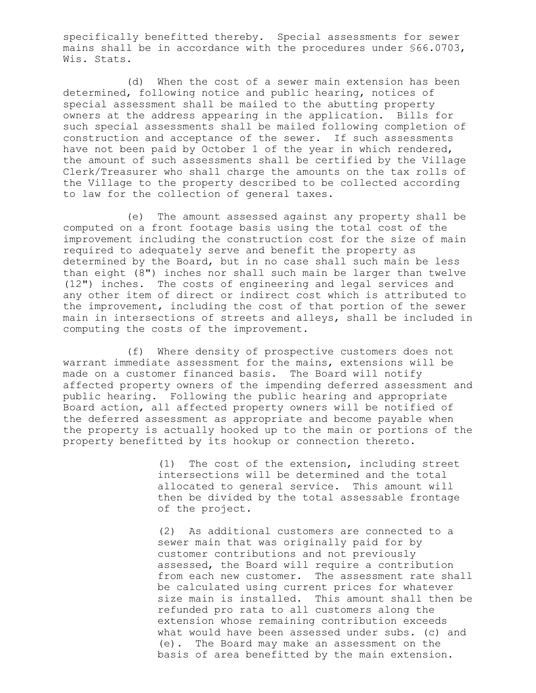specifically benefitted thereby. Special assessments for sewer mains shall be in accordance with the procedures under §66.0703, Wis. Stats.

(d) When the cost of a sewer main extension has been determined, following notice and public hearing, notices of special assessment shall be mailed to the abutting property owners at the address appearing in the application. Bills for such special assessments shall be mailed following completion of construction and acceptance of the sewer. If such assessments have not been paid by October 1 of the year in which rendered, the amount of such assessments shall be certified by the Village Clerk/Treasurer who shall charge the amounts on the tax rolls of the Village to the property described to be collected according to law for the collection of general taxes.

(e) The amount assessed against any property shall be computed on a front footage basis using the total cost of the improvement including the construction cost for the size of main required to adequately serve and benefit the property as determined by the Board, but in no case shall such main be less than eight (8") inches nor shall such main be larger than twelve (12") inches. The costs of engineering and legal services and any other item of direct or indirect cost which is attributed to the improvement, including the cost of that portion of the sewer main in intersections of streets and alleys, shall be included in computing the costs of the improvement.

(f) Where density of prospective customers does not warrant immediate assessment for the mains, extensions will be made on a customer financed basis. The Board will notify affected property owners of the impending deferred assessment and public hearing. Following the public hearing and appropriate Board action, all affected property owners will be notified of the deferred assessment as appropriate and become payable when the property is actually hooked up to the main or portions of the property benefitted by its hookup or connection thereto.

> (1) The cost of the extension, including street intersections will be determined and the total allocated to general service. This amount will then be divided by the total assessable frontage of the project.

(2) As additional customers are connected to a sewer main that was originally paid for by customer contributions and not previously assessed, the Board will require a contribution from each new customer. The assessment rate shall be calculated using current prices for whatever size main is installed. This amount shall then be refunded pro rata to all customers along the extension whose remaining contribution exceeds what would have been assessed under subs. (c) and (e). The Board may make an assessment on the basis of area benefitted by the main extension.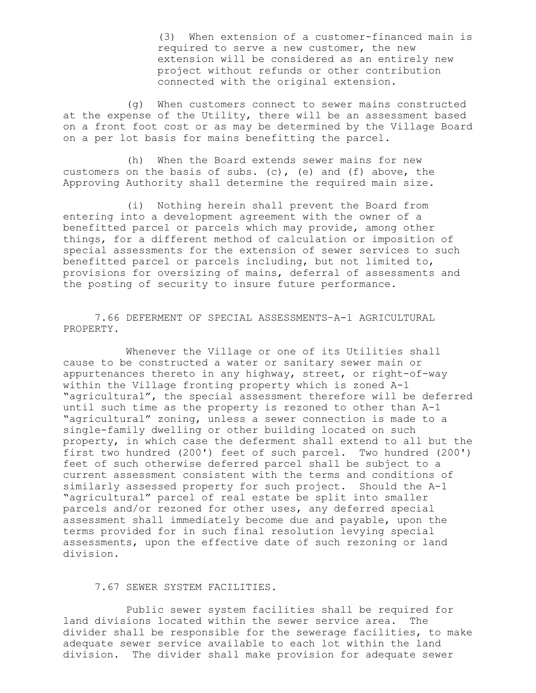(3) When extension of a customer-financed main is required to serve a new customer, the new extension will be considered as an entirely new project without refunds or other contribution connected with the original extension.

(g) When customers connect to sewer mains constructed at the expense of the Utility, there will be an assessment based on a front foot cost or as may be determined by the Village Board on a per lot basis for mains benefitting the parcel.

(h) When the Board extends sewer mains for new customers on the basis of subs. (c), (e) and (f) above, the Approving Authority shall determine the required main size.

(i) Nothing herein shall prevent the Board from entering into a development agreement with the owner of a benefitted parcel or parcels which may provide, among other things, for a different method of calculation or imposition of special assessments for the extension of sewer services to such benefitted parcel or parcels including, but not limited to, provisions for oversizing of mains, deferral of assessments and the posting of security to insure future performance.

7.66 DEFERMENT OF SPECIAL ASSESSMENTS–A-1 AGRICULTURAL PROPERTY.

Whenever the Village or one of its Utilities shall cause to be constructed a water or sanitary sewer main or appurtenances thereto in any highway, street, or right-of-way within the Village fronting property which is zoned A-1 "agricultural", the special assessment therefore will be deferred until such time as the property is rezoned to other than A-1 "agricultural" zoning, unless a sewer connection is made to a single-family dwelling or other building located on such property, in which case the deferment shall extend to all but the first two hundred (200') feet of such parcel. Two hundred (200') feet of such otherwise deferred parcel shall be subject to a current assessment consistent with the terms and conditions of similarly assessed property for such project. Should the A-1 "agricultural" parcel of real estate be split into smaller parcels and/or rezoned for other uses, any deferred special assessment shall immediately become due and payable, upon the terms provided for in such final resolution levying special assessments, upon the effective date of such rezoning or land division.

## 7.67 SEWER SYSTEM FACILITIES.

Public sewer system facilities shall be required for land divisions located within the sewer service area. The divider shall be responsible for the sewerage facilities, to make adequate sewer service available to each lot within the land division. The divider shall make provision for adequate sewer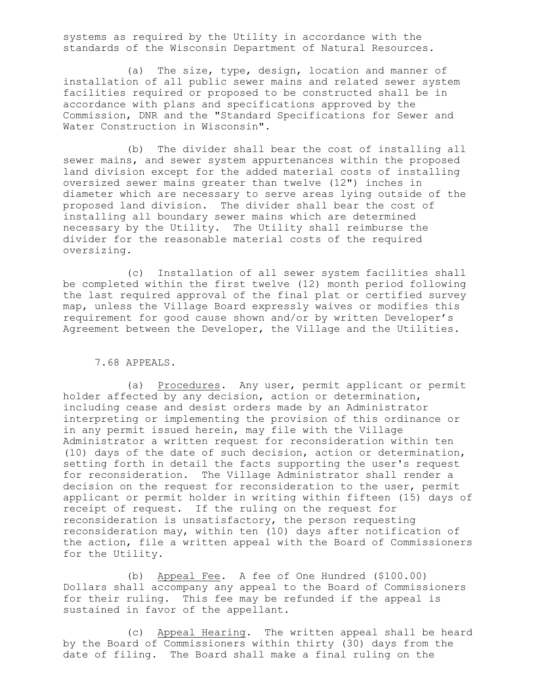systems as required by the Utility in accordance with the standards of the Wisconsin Department of Natural Resources.

(a) The size, type, design, location and manner of installation of all public sewer mains and related sewer system facilities required or proposed to be constructed shall be in accordance with plans and specifications approved by the Commission, DNR and the "Standard Specifications for Sewer and Water Construction in Wisconsin".

(b) The divider shall bear the cost of installing all sewer mains, and sewer system appurtenances within the proposed land division except for the added material costs of installing oversized sewer mains greater than twelve (12") inches in diameter which are necessary to serve areas lying outside of the proposed land division. The divider shall bear the cost of installing all boundary sewer mains which are determined necessary by the Utility. The Utility shall reimburse the divider for the reasonable material costs of the required oversizing.

(c) Installation of all sewer system facilities shall be completed within the first twelve (12) month period following the last required approval of the final plat or certified survey map, unless the Village Board expressly waives or modifies this requirement for good cause shown and/or by written Developer's Agreement between the Developer, the Village and the Utilities.

7.68 APPEALS.

(a) Procedures. Any user, permit applicant or permit holder affected by any decision, action or determination, including cease and desist orders made by an Administrator interpreting or implementing the provision of this ordinance or in any permit issued herein, may file with the Village Administrator a written request for reconsideration within ten (10) days of the date of such decision, action or determination, setting forth in detail the facts supporting the user's request for reconsideration. The Village Administrator shall render a decision on the request for reconsideration to the user, permit applicant or permit holder in writing within fifteen (15) days of receipt of request. If the ruling on the request for reconsideration is unsatisfactory, the person requesting reconsideration may, within ten (10) days after notification of the action, file a written appeal with the Board of Commissioners for the Utility.

(b) Appeal Fee. A fee of One Hundred (\$100.00) Dollars shall accompany any appeal to the Board of Commissioners for their ruling. This fee may be refunded if the appeal is sustained in favor of the appellant.

(c) Appeal Hearing. The written appeal shall be heard by the Board of Commissioners within thirty (30) days from the date of filing. The Board shall make a final ruling on the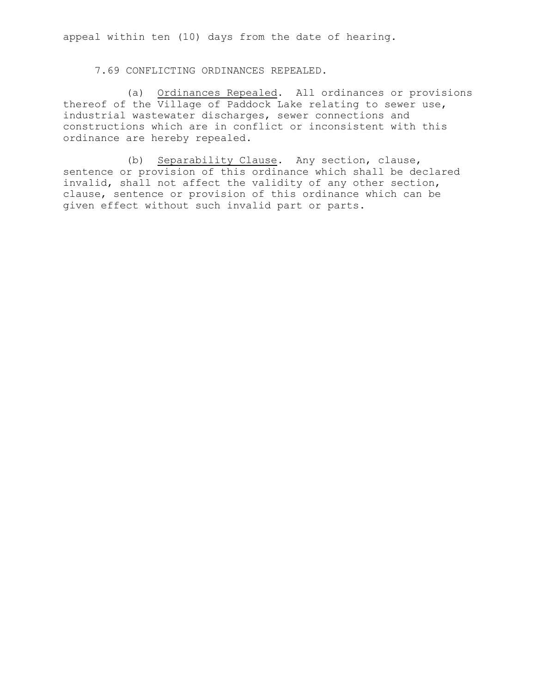appeal within ten (10) days from the date of hearing.

7.69 CONFLICTING ORDINANCES REPEALED.

(a) Ordinances Repealed. All ordinances or provisions thereof of the Village of Paddock Lake relating to sewer use, industrial wastewater discharges, sewer connections and constructions which are in conflict or inconsistent with this ordinance are hereby repealed.

(b) Separability Clause. Any section, clause, sentence or provision of this ordinance which shall be declared invalid, shall not affect the validity of any other section, clause, sentence or provision of this ordinance which can be given effect without such invalid part or parts.